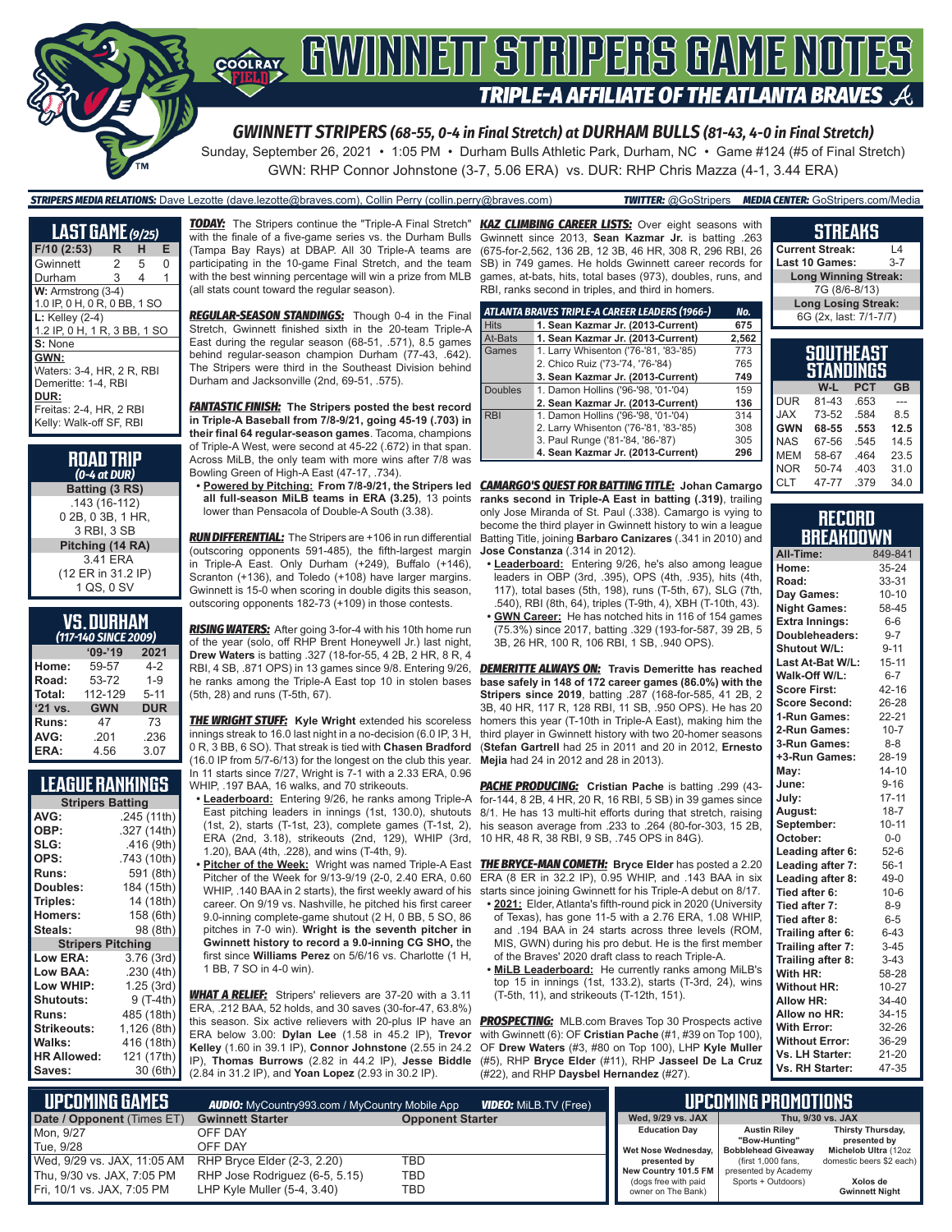

*GWINNETT STRIPERS (68-55, 0-4 in Final Stretch) at DURHAM BULLS (81-43, 4-0 in Final Stretch)*

Sunday, September 26, 2021 • 1:05 PM • Durham Bulls Athletic Park, Durham, NC • Game #124 (#5 of Final Stretch) GWN: RHP Connor Johnstone (3-7, 5.06 ERA) vs. DUR: RHP Chris Mazza (4-1, 3.44 ERA)

*STRIPERS MEDIA RELATIONS:* Dave Lezotte (dave.lezotte@braves.com), Collin Perry (collin.perry@braves.com) *TWITTER:* @GoStripers *MEDIA CENTER:* GoStripers.com/Media

| <b>LAST GAME</b> (9/25)      |    |   |   |
|------------------------------|----|---|---|
| F/10 (2:53)                  | R. | н | E |
| Gwinnett                     | 2  | 5 | O |
| Durham                       | 3  | 4 | 1 |
| W: Armstrong (3-4)           |    |   |   |
| 1.0 IP, 0 H, 0 R, 0 BB, 1 SO |    |   |   |
| $L:$ Kelley (2-4)            |    |   |   |
| 1.2 IP, 0 H, 1 R, 3 BB, 1 SO |    |   |   |
| S: None                      |    |   |   |
| GWN:                         |    |   |   |
| Waters: 3-4, HR, 2 R, RBI    |    |   |   |
| Demeritte: 1-4, RBI          |    |   |   |
| DUR:                         |    |   |   |
| Freitas: 2-4, HR, 2 RBI      |    |   |   |
| Kelly: Walk-off SF, RBI      |    |   |   |
|                              |    |   |   |

| <b>ROAD TRIP</b><br>$(0-4$ at DUR) |
|------------------------------------|
| Batting (3 RS)                     |
| .143 (16-112)                      |
| 0 2B, 0 3B, 1 HR,                  |
| 3 RBI, 3 SB                        |
| Pitching (14 RA)                   |
| 3.41 ERA                           |

(12 ER in 31.2 IP) 1 QS, 0 SV

#### **VS. DURHAM**

|         | (117-140 SINCE 2009) |            |
|---------|----------------------|------------|
|         | $09 - 19$            | 2021       |
| Home:   | 59-57                | $4-2$      |
| Road:   | 53-72                | $1 - 9$    |
| Total:  | 112-129              | $5 - 11$   |
| '21 vs. | <b>GWN</b>           | <b>DUR</b> |
| Runs:   | 47                   | 73         |
| AVG:    | .201                 | .236       |
| ERA:    | 4.56                 | 3.07       |

#### **LEAGUE RANKINGS**

| <b>Stripers Batting</b>  |             |  |  |
|--------------------------|-------------|--|--|
| AVG:                     | .245 (11th) |  |  |
| OBP:                     | .327 (14th) |  |  |
| SLG:                     | .416(9th)   |  |  |
| OPS:                     | .743 (10th) |  |  |
| <b>Runs:</b>             | 591 (8th)   |  |  |
| Doubles:                 | 184 (15th)  |  |  |
| Triples:                 | 14 (18th)   |  |  |
| <b>Homers:</b>           | 158 (6th)   |  |  |
| Steals:                  | 98 (8th)    |  |  |
| <b>Stripers Pitching</b> |             |  |  |
| <b>Low ERA:</b>          | 3.76 (3rd)  |  |  |
| Low BAA:                 | .230(4th)   |  |  |
| Low WHIP:                | 1.25 (3rd)  |  |  |
| <b>Shutouts:</b>         | 9 (T-4th)   |  |  |
| <b>Runs:</b>             | 485 (18th)  |  |  |
| <b>Strikeouts:</b>       | 1,126 (8th) |  |  |
| Walks:                   | 416 (18th)  |  |  |
| <b>HR Allowed:</b>       | 121 (17th)  |  |  |
| Saves:                   | 30 (6th)    |  |  |
|                          |             |  |  |

*TODAY:* The Stripers continue the "Triple-A Final Stretch" with the finale of a five-game series vs. the Durham Bulls (Tampa Bay Rays) at DBAP. All 30 Triple-A teams are participating in the 10-game Final Stretch, and the team with the best winning percentage will win a prize from MLB (all stats count toward the regular season).

*REGULAR-SEASON STANDINGS:* Though 0-4 in the Final Stretch, Gwinnett finished sixth in the 20-team Triple-A East during the regular season (68-51, .571), 8.5 games behind regular-season champion Durham (77-43, .642). The Stripers were third in the Southeast Division behind Durham and Jacksonville (2nd, 69-51, .575).

*FANTASTIC FINISH:* **The Stripers posted the best record in Triple-A Baseball from 7/8-9/21, going 45-19 (.703) in their final 64 regular-season games**. Tacoma, champions of Triple-A West, were second at 45-22 (.672) in that span. Across MiLB, the only team with more wins after 7/8 was Bowling Green of High-A East (47-17, .734).

lower than Pensacola of Double-A South (3.38).

*RUN DIFFERENTIAL:* The Stripers are +106 in run differential (outscoring opponents 591-485), the fifth-largest margin in Triple-A East. Only Durham (+249), Buffalo (+146), Scranton (+136), and Toledo (+108) have larger margins. Gwinnett is 15-0 when scoring in double digits this season, outscoring opponents 182-73 (+109) in those contests.

*RISING WATERS:* After going 3-for-4 with his 10th home run of the year (solo, off RHP Brent Honeywell Jr.) last night, **Drew Waters** is batting .327 (18-for-55, 4 2B, 2 HR, 8 R, 4 he ranks among the Triple-A East top 10 in stolen bases (5th, 28) and runs (T-5th, 67).

*THE WRIGHT STUFF:* **Kyle Wright** extended his scoreless innings streak to 16.0 last night in a no-decision (6.0 IP, 3 H, 0 R, 3 BB, 6 SO). That streak is tied with **Chasen Bradford** (16.0 IP from 5/7-6/13) for the longest on the club this year. In 11 starts since  $7/27$ , Wright is  $7-1$  with a 2.33 ERA,  $0.96$ 

WHIP, .197 BAA, 16 walks, and 70 strikeouts. **• Leaderboard:** Entering 9/26, he ranks among Triple-A

- East pitching leaders in innings (1st, 130.0), shutouts ERA (2nd, 3.18), strikeouts (2nd, 129), WHIP (3rd, 1.20), BAA (4th, .228), and wins (T-4th, 9).
- Pitcher of the Week for 9/13-9/19 (2-0, 2.40 ERA, 0.60 WHIP, .140 BAA in 2 starts), the first weekly award of his career. On 9/19 vs. Nashville, he pitched his first career 9.0-inning complete-game shutout (2 H, 0 BB, 5 SO, 86 pitches in 7-0 win). **Wright is the seventh pitcher in Gwinnett history to record a 9.0-inning CG SHO,** the first since **Williams Perez** on 5/6/16 vs. Charlotte (1 H, 1 BB, 7 SO in 4-0 win).

*WHAT A RELIEF:* Stripers' relievers are 37-20 with a 3.11 ERA, .212 BAA, 52 holds, and 30 saves (30-for-47, 63.8%) this season. Six active relievers with 20-plus IP have an ERA below 3.00: **Dylan Lee** (1.58 in 45.2 IP), **Trevor Kelley** (1.60 in 39.1 IP), **Connor Johnstone** (2.55 in 24.2 IP), **Thomas Burrows** (2.82 in 44.2 IP), **Jesse Biddle** (2.84 in 31.2 IP), and **Yoan Lopez** (2.93 in 30.2 IP).

*KAZ CLIMBING CAREER LISTS:* Over eight seasons with Gwinnett since 2013, **Sean Kazmar Jr.** is batting .263 (675-for-2,562, 136 2B, 12 3B, 46 HR, 308 R, 296 RBI, 26 SB) in 749 games. He holds Gwinnett career records for games, at-bats, hits, total bases (973), doubles, runs, and RBI, ranks second in triples, and third in homers.

|                | ATLANTA BRAVES TRIPLE-A CAREER LEADERS (1966-) | No.   |
|----------------|------------------------------------------------|-------|
| <b>Hits</b>    | 1. Sean Kazmar Jr. (2013-Current)              | 675   |
| At-Bats        | 1. Sean Kazmar Jr. (2013-Current)              | 2,562 |
| Games          | 1. Larry Whisenton ('76-'81, '83-'85)          | 773   |
|                | 2. Chico Ruiz ('73-'74, '76-'84)               | 765   |
|                | 3. Sean Kazmar Jr. (2013-Current)              | 749   |
| <b>Doubles</b> | 1. Damon Hollins ('96-'98, '01-'04)            | 159   |
|                | 2. Sean Kazmar Jr. (2013-Current)              | 136   |
| <b>RBI</b>     | 1. Damon Hollins ('96-'98, '01-'04)            | 314   |
|                | 2. Larry Whisenton ('76-'81, '83-'85)          | 308   |
|                | 3. Paul Runge ('81-'84, '86-'87)               | 305   |
|                | 4. Sean Kazmar Jr. (2013-Current)              | 296   |

**• Powered by Pitching: From 7/8-9/21, the Stripers led**  *CAMARGO'S QUEST FOR BATTING TITLE:* **Johan Camargo all full-season MiLB teams in ERA (3.25)**, 13 points **ranks second in Triple-A East in batting (.319)**, trailing only Jose Miranda of St. Paul (.338). Camargo is vying to become the third player in Gwinnett history to win a league Batting Title, joining **Barbaro Canizares** (.341 in 2010) and **Jose Constanza** (.314 in 2012).

- **• Leaderboard:** Entering 9/26, he's also among league leaders in OBP (3rd, .395), OPS (4th, .935), hits (4th, 117), total bases (5th, 198), runs (T-5th, 67), SLG (7th, .540), RBI (8th, 64), triples (T-9th, 4), XBH (T-10th, 43).
- **• GWN Career:** He has notched hits in 116 of 154 games (75.3%) since 2017, batting .329 (193-for-587, 39 2B, 5 3B, 26 HR, 100 R, 106 RBI, 1 SB, .940 OPS).

RBI, 4 SB, .871 OPS) in 13 games since 9/8. Entering 9/26, *DEMERITTE ALWAYS ON:* **Travis Demeritte has reached base safely in 148 of 172 career games (86.0%) with the Stripers since 2019**, batting .287 (168-for-585, 41 2B, 2 3B, 40 HR, 117 R, 128 RBI, 11 SB, .950 OPS). He has 20 homers this year (T-10th in Triple-A East), making him the third player in Gwinnett history with two 20-homer seasons (**Stefan Gartrell** had 25 in 2011 and 20 in 2012, **Ernesto Mejia** had 24 in 2012 and 28 in 2013).

(1st, 2), starts (T-1st, 23), complete games (T-1st, 2), his season average from .233 to .264 (80-for-303, 15 2B, *PACHE PRODUCING:* **Cristian Pache** is batting .299 (43 for-144, 8 2B, 4 HR, 20 R, 16 RBI, 5 SB) in 39 games since 8/1. He has 13 multi-hit efforts during that stretch, raising 10 HR, 48 R, 38 RBI, 9 SB, .745 OPS in 84G).

**• Pitcher of the Week:** Wright was named Triple-A East *THE BRYCE-MAN COMETH:* **Bryce Elder** has posted a 2.20 ERA (8 ER in 32.2 IP), 0.95 WHIP, and .143 BAA in six starts since joining Gwinnett for his Triple-A debut on 8/17.

- **• 2021:** Elder, Atlanta's fifth-round pick in 2020 (University of Texas), has gone 11-5 with a 2.76 ERA, 1.08 WHIP, and .194 BAA in 24 starts across three levels (ROM, MIS, GWN) during his pro debut. He is the first member of the Braves' 2020 draft class to reach Triple-A.
- **• MiLB Leaderboard:** He currently ranks among MiLB's top 15 in innings  $(1st, 133.2)$ , starts  $(T-3rd, 24)$ , wins (T-5th, 11), and strikeouts (T-12th, 151).

**PROSPECTING:** MLB.com Braves Top 30 Prospects active with Gwinnett (6): OF **Cristian Pache** (#1, #39 on Top 100), OF **Drew Waters** (#3, #80 on Top 100), LHP **Kyle Muller** (#5), RHP **Bryce Elder** (#11), RHP **Jasseel De La Cruz** (#22), and RHP **Daysbel Hernandez** (#27).

#### **SOUTHEAST STANDINGS W-L PCT GB**  $DIIR$   $81-43$ JAX 73-52 .584 8.5<br>GWN 68-55 .553 12.5 **GWN 68-55 .553 12.5** NAS 67-56 545 14.5 MEM 58-67 .464 23.5<br>NOR 50-74 .403 31.0 Last 10 Games: **Long Winning Streak:** 7G (8/6-8/13) **Long Losing Streak:** 6G (2x, last: 7/1-7/7)

**STREAKS Current Streak:** L4

| <b>RECORD</b> |  |
|---------------|--|
| BREAKDOWN     |  |

CLT 47-77 .379 34.0

NOR 50-74 .403<br>CLT 47-77 .379

| All-Time:             | 849-841   |
|-----------------------|-----------|
| Home:                 | 35-24     |
| Road:                 | 33-31     |
| Day Games:            | $10 - 10$ |
| <b>Night Games:</b>   | 58-45     |
| <b>Extra Innings:</b> | $6-6$     |
| Doubleheaders:        | $9 - 7$   |
| <b>Shutout W/L:</b>   | $9 - 11$  |
| Last At-Bat W/L:      | 15-11     |
| Walk-Off W/L:         | $6 - 7$   |
| <b>Score First:</b>   | 42-16     |
| <b>Score Second:</b>  | 26-28     |
| 1-Run Games:          | 22-21     |
| 2-Run Games:          | $10 - 7$  |
| 3-Run Games:          | $8 - 8$   |
| +3-Run Games:         | 28-19     |
| May:                  | $14 - 10$ |
| June:                 | $9 - 16$  |
| July:                 | $17 - 11$ |
| August:               | $18 - 7$  |
| September:            | $10 - 11$ |
| October:              | $0-0$     |
| Leading after 6:      | $52-6$    |
| Leading after 7:      | $56-1$    |
| Leading after 8:      | $49 - 0$  |
| Tied after 6:         | $10-6$    |
| Tied after 7:         | $8 - 9$   |
| Tied after 8:         | $6 - 5$   |
| Trailing after 6:     | $6 - 43$  |
| Trailing after 7:     | $3 - 45$  |
| Trailing after 8:     | $3-43$    |
| With HR:              | 58-28     |
| <b>Without HR:</b>    | $10 - 27$ |
| <b>Allow HR:</b>      | 34-40     |
| Allow no HR:          | 34-15     |
| <b>With Error:</b>    | 32-26     |
| <b>Without Error:</b> | 36-29     |
| Vs. LH Starter:       | 21-20     |
| Vs. RH Starter:       | 47-35     |

| L UPCOMIÑG GAMES <b>!</b><br><b>VIDEO:</b> MiLB.TV (Free)<br><b>AUDIO:</b> MyCountry993.com / MyCountry Mobile App |                                |                         |                                            | <b>UPCOMING PROMOTIONS</b>           |                                   |
|--------------------------------------------------------------------------------------------------------------------|--------------------------------|-------------------------|--------------------------------------------|--------------------------------------|-----------------------------------|
| Date / Opponent (Times ET)                                                                                         | <b>Gwinnett Starter</b>        | <b>Opponent Starter</b> | Wed, 9/29 vs. JAX                          |                                      | Thu. 9/30 vs. JAX                 |
| Mon. 9/27                                                                                                          | OFF DAY                        |                         | <b>Education Day</b>                       | <b>Austin Rilev</b><br>"Bow-Huntina" | Thirsty Thursday,<br>presented by |
| Tue. 9/28                                                                                                          | OFF DAY                        |                         | Wet Nose Wednesday,                        | <b>Bobblehead Giveaway</b>           | Michelob Ultra (12oz              |
| Wed, 9/29 vs. JAX, 11:05 AM                                                                                        | RHP Bryce Elder (2-3, 2.20)    | TBD                     | presented by                               | (first 1,000 fans.)                  | domestic beers \$2 each)          |
| Thu, 9/30 vs. JAX, 7:05 PM                                                                                         | RHP Jose Rodriguez (6-5, 5.15) | TBD                     | New Country 101.5 FM                       | presented by Academy                 |                                   |
| Fri, 10/1 vs. JAX, 7:05 PM                                                                                         | LHP Kyle Muller (5-4, 3.40)    | TBD                     | (dogs free with paid<br>owner on The Bank) | Sports + Outdoors)                   | Xolos de<br><b>Gwinnett Night</b> |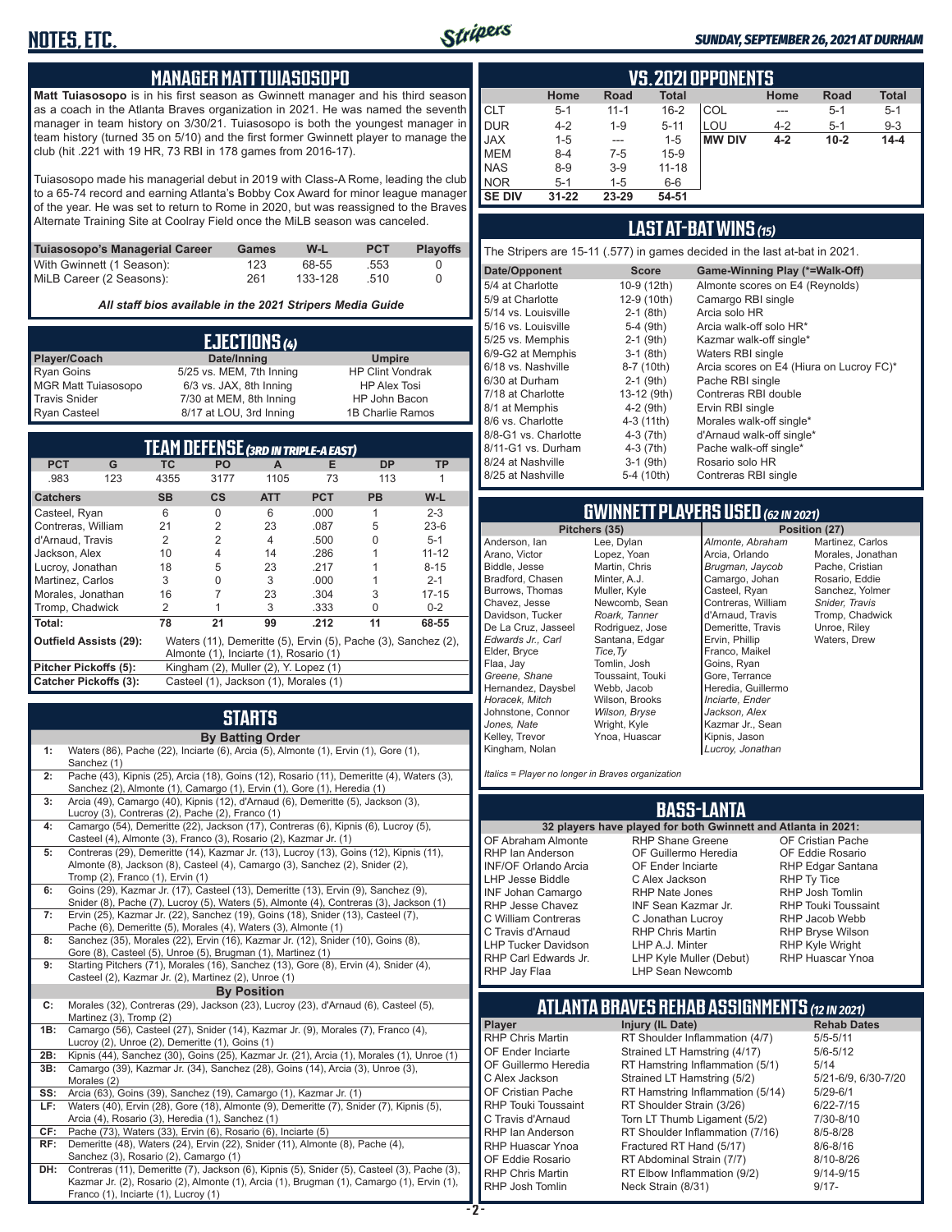

#### *SUNDAY, SEPTEMBER 26, 2021 AT DURHAM*

#### **MANAGER MATT TUIASOSOPO**

**Matt Tuiasosopo** is in his first season as Gwinnett manager and his third season as a coach in the Atlanta Braves organization in 2021. He was named the seventh manager in team history on 3/30/21. Tuiasosopo is both the youngest manager in team history (turned 35 on 5/10) and the first former Gwinnett player to manage the club (hit .221 with 19 HR, 73 RBI in 178 games from 2016-17).

Tuiasosopo made his managerial debut in 2019 with Class-A Rome, leading the club to a 65-74 record and earning Atlanta's Bobby Cox Award for minor league manager of the year. He was set to return to Rome in 2020, but was reassigned to the Braves Alternate Training Site at Coolray Field once the MiLB season was canceled.

| Tuiasosopo's Managerial Career | Games | W-L     | <b>PCT</b> | <b>Plavoffs</b> |
|--------------------------------|-------|---------|------------|-----------------|
| With Gwinnett (1 Season):      | 123   | 68-55   | .553       |                 |
| MiLB Career (2 Seasons):       | 261   | 133-128 | .510       |                 |

*All staff bios available in the 2021 Stripers Media Guide*

|                            | EJECTIONS (4)            |                         |
|----------------------------|--------------------------|-------------------------|
| Player/Coach               | Date/Inning              | <b>Umpire</b>           |
| <b>Ryan Goins</b>          | 5/25 vs. MEM, 7th Inning | <b>HP Clint Vondrak</b> |
| <b>MGR Matt Tuiasosopo</b> | 6/3 vs. JAX, 8th Inning  | <b>HP Alex Tosi</b>     |
| <b>Travis Snider</b>       | 7/30 at MEM, 8th Inning  | HP John Bacon           |
| <b>Ryan Casteel</b>        | 8/17 at LOU, 3rd Inning  | 1B Charlie Ramos        |

| TEAM DEFENSE (3RD IN TRIPLE-A EAST) |     |           |                                        |            |            |                                                                |           |
|-------------------------------------|-----|-----------|----------------------------------------|------------|------------|----------------------------------------------------------------|-----------|
| <b>PCT</b>                          | G   | ТC        | <b>PO</b>                              | A          | Е          | <b>DP</b>                                                      | ΤP        |
| .983                                | 123 | 4355      | 3177                                   | 1105       | 73         | 113                                                            |           |
| <b>Catchers</b>                     |     | <b>SB</b> | $\mathsf{cs}$                          | <b>ATT</b> | <b>PCT</b> | <b>PB</b>                                                      | W-L       |
| Casteel, Ryan                       |     | 6         | O                                      | 6          | .000       |                                                                | $2 - 3$   |
| Contreras, William                  |     | 21        | $\overline{2}$                         | 23         | .087       | 5                                                              | $23-6$    |
| d'Arnaud, Travis                    |     | 2         | $\overline{2}$                         | 4          | .500       | U                                                              | $5 - 1$   |
| Jackson, Alex                       |     | 10        | 4                                      | 14         | .286       |                                                                | $11 - 12$ |
| Lucroy, Jonathan                    |     | 18        | 5                                      | 23         | .217       |                                                                | $8 - 15$  |
| Martinez, Carlos                    |     | 3         | O                                      | 3          | .000       |                                                                | $2 - 1$   |
| Morales, Jonathan                   |     | 16        |                                        | 23         | .304       | 3                                                              | $17 - 15$ |
| Tromp, Chadwick                     |     | 2         |                                        | 3          | .333       | U                                                              | $0 - 2$   |
| Total:                              |     | 78        | 21                                     | 99         | .212       | 11                                                             | 68-55     |
| Outfield Assists (29):              |     |           |                                        |            |            | Waters (11), Demeritte (5), Ervin (5), Pache (3), Sanchez (2), |           |
|                                     |     |           | Almonte (1), Inciarte (1), Rosario (1) |            |            |                                                                |           |
| Pitcher Pickoffs (5):               |     |           | Kingham (2), Muller (2), Y. Lopez (1)  |            |            |                                                                |           |
| Catcher Pickoffs (3):               |     |           | Casteel (1), Jackson (1), Morales (1)  |            |            |                                                                |           |

# **STARTS**

|     | <b>By Batting Order</b>                                                                                                                                                                                    |
|-----|------------------------------------------------------------------------------------------------------------------------------------------------------------------------------------------------------------|
| 1:  | Waters (86), Pache (22), Inciarte (6), Arcia (5), Almonte (1), Ervin (1), Gore (1),<br>Sanchez (1)                                                                                                         |
| 2:  | Pache (43), Kipnis (25), Arcia (18), Goins (12), Rosario (11), Demeritte (4), Waters (3),<br>Sanchez (2), Almonte (1), Camargo (1), Ervin (1), Gore (1), Heredia (1)                                       |
| 3:  | Arcia (49), Camargo (40), Kipnis (12), d'Arnaud (6), Demeritte (5), Jackson (3),<br>Lucroy (3), Contreras (2), Pache (2), Franco (1)                                                                       |
| 4:  | Camargo (54), Demeritte (22), Jackson (17), Contreras (6), Kipnis (6), Lucroy (5),<br>Casteel (4), Almonte (3), Franco (3), Rosario (2), Kazmar Jr. (1)                                                    |
| 5:  | Contreras (29), Demeritte (14), Kazmar Jr. (13), Lucroy (13), Goins (12), Kipnis (11),<br>Almonte (8), Jackson (8), Casteel (4), Camargo (3), Sanchez (2), Snider (2),<br>Tromp (2), Franco (1), Ervin (1) |
| 6:  | Goins (29), Kazmar Jr. (17), Casteel (13), Demeritte (13), Ervin (9), Sanchez (9),<br>Snider (8), Pache (7), Lucroy (5), Waters (5), Almonte (4), Contreras (3), Jackson (1)                               |
| 7:  | Ervin (25), Kazmar Jr. (22), Sanchez (19), Goins (18), Snider (13), Casteel (7),<br>Pache (6), Demeritte (5), Morales (4), Waters (3), Almonte (1)                                                         |
| 8:  | Sanchez (35), Morales (22), Ervin (16), Kazmar Jr. (12), Snider (10), Goins (8),<br>Gore (8), Casteel (5), Unroe (5), Brugman (1), Martinez (1)                                                            |
| 9:  | Starting Pitchers (71), Morales (16), Sanchez (13), Gore (8), Ervin (4), Snider (4),<br>Casteel (2), Kazmar Jr. (2), Martinez (2), Unroe (1)                                                               |
|     | <b>By Position</b>                                                                                                                                                                                         |
| C:  | Morales (32), Contreras (29), Jackson (23), Lucroy (23), d'Arnaud (6), Casteel (5),<br>Martinez (3), Tromp (2)                                                                                             |
| 1B: | Camargo (56), Casteel (27), Snider (14), Kazmar Jr. (9), Morales (7), Franco (4),<br>Lucroy (2), Unroe (2), Demeritte (1), Goins (1)                                                                       |
| 2B: | Kipnis (44), Sanchez (30), Goins (25), Kazmar Jr. (21), Arcia (1), Morales (1), Unroe (1)                                                                                                                  |
| 3B: | Camargo (39), Kazmar Jr. (34), Sanchez (28), Goins (14), Arcia (3), Unroe (3),<br>Morales (2)                                                                                                              |
| SS: | Arcia (63), Goins (39), Sanchez (19), Camargo (1), Kazmar Jr. (1)                                                                                                                                          |
| LF: | Waters (40), Ervin (28), Gore (18), Almonte (9), Demeritte (7), Snider (7), Kipnis (5),<br>Arcia (4), Rosario (3), Heredia (1), Sanchez (1)                                                                |
| CF: | Pache (73), Waters (33), Ervin (6), Rosario (6), Inciarte (5)                                                                                                                                              |
| RF: | Demeritte (48), Waters (24), Ervin (22), Snider (11), Almonte (8), Pache (4),<br>Sanchez (3), Rosario (2), Camargo (1)                                                                                     |
| DH: | Contreras (11), Demeritte (7), Jackson (6), Kipnis (5), Snider (5), Casteel (3), Pache (3),<br>Kazmar Jr. (2), Rosario (2), Almonte (1), Arcia (1), Brugman (1), Camargo (1), Ervin (1),                   |

Franco (1), Inciarte (1), Lucroy (1)

|               | VS. 2021 OPPONENTS                                                  |          |           |               |         |          |          |  |  |  |  |  |  |  |  |
|---------------|---------------------------------------------------------------------|----------|-----------|---------------|---------|----------|----------|--|--|--|--|--|--|--|--|
|               | <b>Total</b><br><b>Total</b><br>Road<br>Home<br><b>Road</b><br>Home |          |           |               |         |          |          |  |  |  |  |  |  |  |  |
| <b>CLT</b>    | $5 - 1$                                                             | $11 - 1$ | $16 - 2$  | COL           | ---     | $5-1$    | $5 - 1$  |  |  |  |  |  |  |  |  |
| <b>DUR</b>    | $4 - 2$                                                             | $1 - 9$  | $5 - 11$  | LOU           | $4 - 2$ | $5-1$    | $9 - 3$  |  |  |  |  |  |  |  |  |
| <b>JAX</b>    | $1 - 5$                                                             | $- - -$  | $1 - 5$   | <b>MW DIV</b> | $4 - 2$ | $10 - 2$ | $14 - 4$ |  |  |  |  |  |  |  |  |
| <b>MEM</b>    | $8 - 4$                                                             | $7-5$    | $15-9$    |               |         |          |          |  |  |  |  |  |  |  |  |
| <b>NAS</b>    | $8 - 9$                                                             | $3-9$    | $11 - 18$ |               |         |          |          |  |  |  |  |  |  |  |  |
| <b>NOR</b>    | $5 - 1$                                                             | $1 - 5$  | $6-6$     |               |         |          |          |  |  |  |  |  |  |  |  |
| <b>SE DIV</b> | $31 - 22$                                                           | 23-29    | 54-51     |               |         |          |          |  |  |  |  |  |  |  |  |

#### **LAST AT-BAT WINS** *(15)*

The Stripers are 15-11 (.577) in games decided in the last at-bat in 2021.

| Date/Opponent        | <b>Score</b> | Game-Winning Play (*=Walk-Off)           |
|----------------------|--------------|------------------------------------------|
| 5/4 at Charlotte     | 10-9 (12th)  | Almonte scores on E4 (Reynolds)          |
| 5/9 at Charlotte     | 12-9 (10th)  | Camargo RBI single                       |
| 5/14 vs. Louisville  | $2-1$ (8th)  | Arcia solo HR                            |
| 5/16 vs. Louisville  | $5-4$ (9th)  | Arcia walk-off solo HR*                  |
| 5/25 vs. Memphis     | $2-1$ (9th)  | Kazmar walk-off single*                  |
| 6/9-G2 at Memphis    | $3-1$ (8th)  | Waters RBI single                        |
| 6/18 vs. Nashville   | 8-7 (10th)   | Arcia scores on E4 (Hiura on Lucroy FC)* |
| 6/30 at Durham       | $2-1$ (9th)  | Pache RBI single                         |
| 7/18 at Charlotte    | 13-12 (9th)  | Contreras RBI double                     |
| 8/1 at Memphis       | $4-2$ (9th)  | Ervin RBI single                         |
| 8/6 vs. Charlotte    | 4-3 (11th)   | Morales walk-off single*                 |
| 8/8-G1 vs. Charlotte | $4-3(7th)$   | d'Arnaud walk-off single*                |
| 8/11-G1 vs. Durham   | $4-3(7th)$   | Pache walk-off single*                   |
| 8/24 at Nashville    | $3-1$ (9th)  | Rosario solo HR                          |
| 8/25 at Nashville    | 5-4 (10th)   | Contreras RBI single                     |
|                      |              |                                          |

# **GWINNETT PLAYERS USED** *(62 IN 2021)*

Anderson, Ian Arano, Victor Biddle, Jesse Bradford, Chasen Burrows, Thomas Chavez, Jesse Davidson, Tucker De La Cruz, Jasseel *Edwards Jr., Carl* Elder, Bryce Flaa, Jay *Greene, Shane*  Hernandez, Daysbel *Horacek, Mitch* Johnstone, Connor *Jones, Nate* Kelley, Trevor Kingham, Nolan

Lee, Dylan Lopez, Yoan Martin, Chris Minter, A.J. Muller, Kyle Newcomb, Sean *Roark, Tanner* Rodriguez, Jose Santana, Edgar *Tice,Ty* Tomlin, Josh Toussaint, Touki Webb, Jacob Wilson, Brooks *Wilson, Bryse* Wright, Kyle Ynoa, Huascar *Almonte, Abraham* Arcia, Orlando *Brugman, Jaycob* Camargo, Johan Casteel, Ryan Contreras, William d'Arnaud, Travis Demeritte, Travis Ervin, Phillip Franco, Maikel Goins, Ryan Gore, Terrance Heredia, Guillermo *Inciarte, Ender Jackson, Alex* Kazmar Jr., Sean Kipnis, Jason *Lucroy, Jonathan*

**Position (27)** Martinez, Carlos Morales, Jonathan Pache, Cristian Rosario, Eddie Sanchez, Yolmer *Snider, Travis* Tromp, Chadwick Unroe, Riley Waters, Drew

*Italics = Player no longer in Braves organization*

#### **BASS-LANTA**

OF Abraham Almonte RHP Ian Anderson INF/OF Orlando Arcia LHP Jesse Biddle INF Johan Camargo RHP Jesse Chavez C William Contreras C Travis d'Arnaud LHP Tucker Davidson RHP Carl Edwards Jr. RHP Jay Flaa

**32 players have played for both Gwinnett and Atlanta in 2021:** RHP Shane Greene OF Guillermo Heredia OF Ender Inciarte C Alex Jackson RHP Nate Jones INF Sean Kazmar Jr. C Jonathan Lucroy RHP Chris Martin LHP A.J. Minter LHP Kyle Muller (Debut) LHP Sean Newcomb

OF Cristian Pache OF Eddie Rosario RHP Edgar Santana RHP Ty Tice RHP Josh Tomlin RHP Touki Toussaint RHP Jacob Webb RHP Bryse Wilson RHP Kyle Wright RHP Huascar Ynoa

# **ATLANTA BRAVES REHAB ASSIGNMENTS** *(12 IN 2021)*

**Player Injury (IL Date)** RHP Chris Martin RT Shoulder Inflammation (4/7) 5/5-5/11<br>OF Ender Inciarte Strained LT Hamstring (4/17) 5/6-5/12 OF Ender Inciarte Strained LT Hamstring (4/17)<br>OF Guillermo Heredia RT Hamstring Inflammation (5) RT Hamstring Inflammation  $(5/1)$  5/14<br>Strained LT Hamstring  $(5/2)$  5/21-6/9, 6/30-7/20 C Alex Jackson Strained LT Hamstring (5/2) 5/21-6/9<br>CF Cristian Pache RT Hamstring Inflammation (5/14) 5/29-6/1 OF Cristian Pache RT Hamstring Inflammation (5/14) 5/29-6/1<br>RHP Touki Toussaint RT Shoulder Strain (3/26) 6/22-7/15 RT Shoulder Strain (3/26) C Travis d'Arnaud Torn LT Thumb Ligament (5/2) 7/30-8/10 RHP Ian Anderson RT Shoulder Inflammation (7/16) 8/5-8/28<br>RHP Huascar Ynoa Fractured RT Hand (5/17) 8/6-8/16 RHP Huascar Ynoa Fractured RT Hand (5/17) 8/6-8/16<br>OF Eddie Rosario RT Abdominal Strain (7/7) 8/10-8/26 RT Abdominal Strain (7/7) RHP Chris Martin **RT Elbow Inflammation (9/2)** 9/14-9/15<br>RHP Josh Tomlin Neck Strain (8/31) 9/17-Neck Strain (8/31)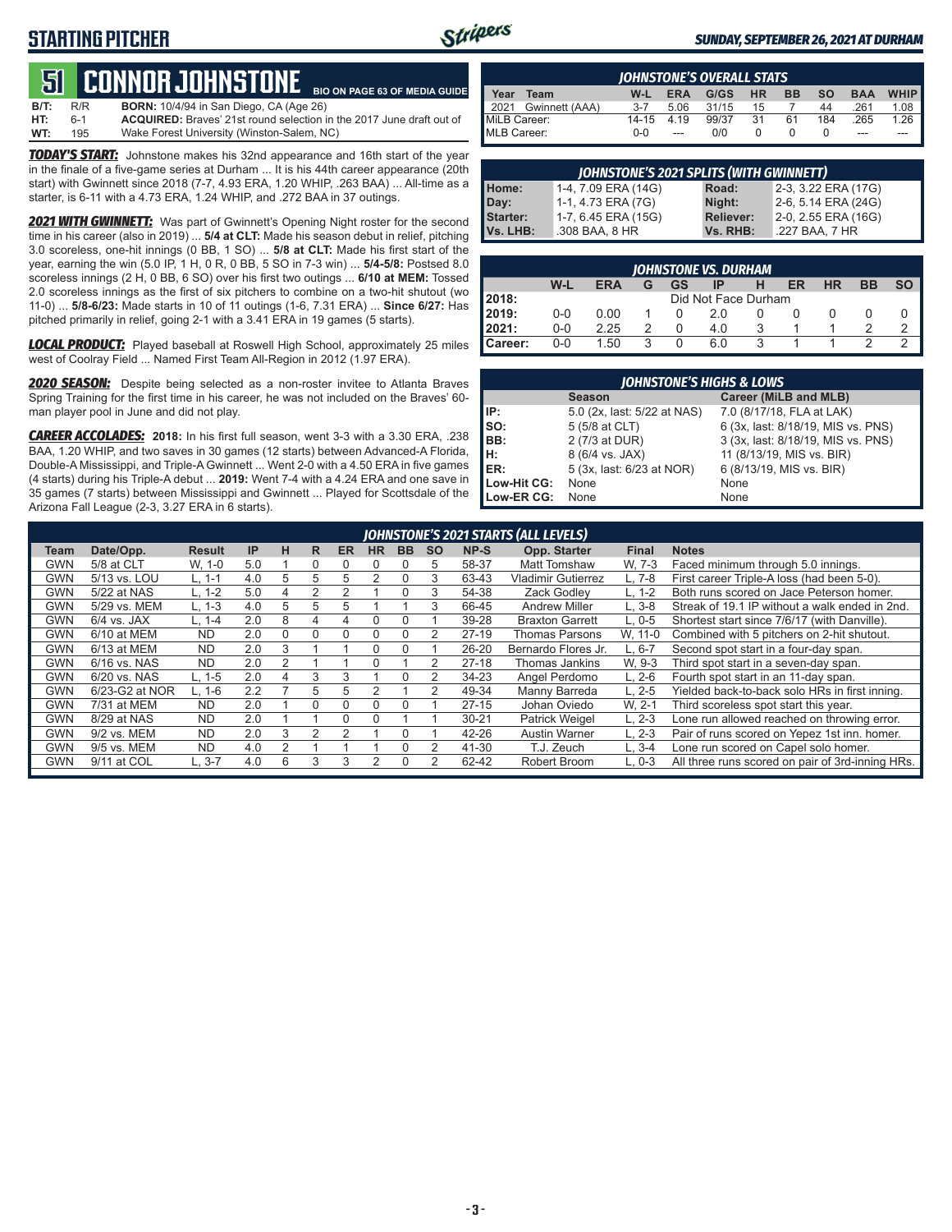### **STARTING PITCHER**



#### *SUNDAY, SEPTEMBER 26, 2021 AT DURHAM*

#### **51****CONNOR JOHNSTONE BIO ON PAGE 63 OF MEDIA GUIDE**

| <b>B/T:</b> | R/R | <b>BORN:</b> 10/4/94 in San Diego, CA (Age 26)                              |
|-------------|-----|-----------------------------------------------------------------------------|
| HT:         | 6-1 | <b>ACQUIRED:</b> Brayes' 21st round selection in the 2017 June draft out of |
| WT:         | 195 | Wake Forest University (Winston-Salem, NC)                                  |

*TODAY'S START:* Johnstone makes his 32nd appearance and 16th start of the year in the finale of a five-game series at Durham ... It is his 44th career appearance (20th start) with Gwinnett since 2018 (7-7, 4.93 ERA, 1.20 WHIP, .263 BAA) ... All-time as a starter, is 6-11 with a 4.73 ERA, 1.24 WHIP, and .272 BAA in 37 outings.

**2021 WITH GWINNETT:** Was part of Gwinnett's Opening Night roster for the second time in his career (also in 2019) ... **5/4 at CLT:** Made his season debut in relief, pitching 3.0 scoreless, one-hit innings (0 BB, 1 SO) ... **5/8 at CLT:** Made his first start of the year, earning the win (5.0 IP, 1 H, 0 R, 0 BB, 5 SO in 7-3 win) ... **5/4-5/8:** Postsed 8.0 scoreless innings (2 H, 0 BB, 6 SO) over his first two outings ... **6/10 at MEM:** Tossed 2.0 scoreless innings as the first of six pitchers to combine on a two-hit shutout (wo 11-0) ... **5/8-6/23:** Made starts in 10 of 11 outings (1-6, 7.31 ERA) ... **Since 6/27:** Has pitched primarily in relief, going 2-1 with a 3.41 ERA in 19 games (5 starts).

*LOCAL PRODUCT:* Played baseball at Roswell High School, approximately 25 miles west of Coolray Field ... Named First Team All-Region in 2012 (1.97 ERA).

*2020 SEASON:* Despite being selected as a non-roster invitee to Atlanta Braves Spring Training for the first time in his career, he was not included on the Braves' 60 man player pool in June and did not play.

*CAREER ACCOLADES:* **2018:** In his first full season, went 3-3 with a 3.30 ERA, .238 BAA, 1.20 WHIP, and two saves in 30 games (12 starts) between Advanced-A Florida, Double-A Mississippi, and Triple-A Gwinnett ... Went 2-0 with a 4.50 ERA in five games (4 starts) during his Triple-A debut ... **2019:** Went 7-4 with a 4.24 ERA and one save in 35 games (7 starts) between Mississippi and Gwinnett ... Played for Scottsdale of the Arizona Fall League (2-3, 3.27 ERA in 6 starts).

|              | <b>IOHNSTONE'S OVERALL STATS</b> |         |            |       |           |           |           |            |             |  |  |  |  |  |
|--------------|----------------------------------|---------|------------|-------|-----------|-----------|-----------|------------|-------------|--|--|--|--|--|
| Year         | Team                             | $W-L$   | <b>ERA</b> | G/GS  | <b>HR</b> | <b>BB</b> | <b>SO</b> | <b>BAA</b> | <b>WHIP</b> |  |  |  |  |  |
|              | 2021 Gwinnett (AAA)              | $3 - 7$ | 5.06       | 31/15 | 15        |           | 44        | 261        | 1.08        |  |  |  |  |  |
| MiLB Career: |                                  | 14-15   | 4.19       | 99/37 | 31        | 61        | 184       | 265        | 1.26        |  |  |  |  |  |
| MLB Career:  |                                  | $0 - 0$ | ---        | 0/0   |           |           | 0         | ---        |             |  |  |  |  |  |

| <b>JOHNSTONE'S 2021 SPLITS (WITH GWINNETT)</b> |                     |                  |                     |  |  |  |  |  |  |  |  |  |
|------------------------------------------------|---------------------|------------------|---------------------|--|--|--|--|--|--|--|--|--|
| Home:                                          | 1-4, 7.09 ERA (14G) | Road:            | 2-3, 3.22 ERA (17G) |  |  |  |  |  |  |  |  |  |
| Day:                                           | 1-1, 4.73 ERA (7G)  | Night:           | 2-6, 5.14 ERA (24G) |  |  |  |  |  |  |  |  |  |
| <b>Starter:</b>                                | 1-7, 6.45 ERA (15G) | <b>Reliever:</b> | 2-0, 2.55 ERA (16G) |  |  |  |  |  |  |  |  |  |
| Vs. LHB:                                       | .308 BAA, 8 HR      | Vs. RHB:         | .227 BAA, 7 HR      |  |  |  |  |  |  |  |  |  |

|                  | <b>IOHNSTONE VS. DURHAM</b> |            |   |    |     |   |    |           |           |  |  |  |  |  |  |
|------------------|-----------------------------|------------|---|----|-----|---|----|-----------|-----------|--|--|--|--|--|--|
|                  | W-L                         | <b>ERA</b> | G | GS | IP  |   | ER | <b>HR</b> | <b>BB</b> |  |  |  |  |  |  |
| 2018:            | Did Not Face Durham         |            |   |    |     |   |    |           |           |  |  |  |  |  |  |
| 2019:            | $0 - 0$                     | 0.00       |   |    | 2 0 |   |    |           |           |  |  |  |  |  |  |
| 2021:            | $0 - 0$                     | 2.25       |   |    | 4.0 |   |    |           |           |  |  |  |  |  |  |
| <b>I</b> Career: | $0 - 0$                     | 1.50       | 3 |    | 6.0 | 2 |    |           |           |  |  |  |  |  |  |

| <b>JOHNSTONE'S HIGHS &amp; LOWS</b> |                             |                                    |  |  |  |  |  |  |  |  |  |
|-------------------------------------|-----------------------------|------------------------------------|--|--|--|--|--|--|--|--|--|
|                                     | <b>Season</b>               | Career (MiLB and MLB)              |  |  |  |  |  |  |  |  |  |
| IIP:                                | 5.0 (2x, last: 5/22 at NAS) | 7.0 (8/17/18, FLA at LAK)          |  |  |  |  |  |  |  |  |  |
| Iso:                                | 5 (5/8 at CLT)              | 6 (3x, last: 8/18/19, MIS vs. PNS) |  |  |  |  |  |  |  |  |  |
| BB:                                 | 2 (7/3 at DUR)              | 3 (3x, last: 8/18/19, MIS vs. PNS) |  |  |  |  |  |  |  |  |  |
| Iн:                                 | 8 (6/4 vs. JAX)             | 11 (8/13/19, MIS vs. BIR)          |  |  |  |  |  |  |  |  |  |
| <b>IER:</b>                         | 5 (3x, last: 6/23 at NOR)   | 6 (8/13/19, MIS vs. BIR)           |  |  |  |  |  |  |  |  |  |
| Low-Hit CG:                         | None                        | None                               |  |  |  |  |  |  |  |  |  |
| Low-ER CG:                          | None                        | None                               |  |  |  |  |  |  |  |  |  |

|            |                |               |     |          |               |           |                |           |           |           | JOHNSTONE'S 2021 STARTS (ALL LEVELS) |              |                                                  |
|------------|----------------|---------------|-----|----------|---------------|-----------|----------------|-----------|-----------|-----------|--------------------------------------|--------------|--------------------------------------------------|
| Team       | Date/Opp.      | <b>Result</b> | IP  | н        | R             | <b>ER</b> | <b>HR</b>      | <b>BB</b> | <b>SO</b> | NP-S      | Opp. Starter                         | <b>Final</b> | <b>Notes</b>                                     |
| GWN        | 5/8 at CLT     | W. 1-0        | 5.0 |          |               |           |                |           | 5         | 58-37     | <b>Matt Tomshaw</b>                  | W. 7-3       | Faced minimum through 5.0 innings.               |
| GWN        | 5/13 vs. LOU   | L. 1-1        | 4.0 | 5        | 5             | 5         | $\mathfrak{p}$ |           | 3         | 63-43     | <b>Vladimir Gutierrez</b>            | $L.7-8$      | First career Triple-A loss (had been 5-0).       |
| GWN        | 5/22 at NAS    | $L. 1-2$      | 5.0 | 4        | $\mathcal{P}$ |           |                |           | 3         | 54-38     | Zack Godlev                          | L. 1-2       | Both runs scored on Jace Peterson homer.         |
| <b>GWN</b> | 5/29 vs. MEM   | $L. 1-3$      | 4.0 | 5        | 5             | 5         |                |           | 3         | 66-45     | <b>Andrew Miller</b>                 | $L.3-8$      | Streak of 19.1 IP without a walk ended in 2nd.   |
| <b>GWN</b> | $6/4$ vs. JAX  | $L. 1 - 4$    | 2.0 | 8        | 4             |           | 0              |           |           | 39-28     | <b>Braxton Garrett</b>               | $L.0 - 5$    | Shortest start since 7/6/17 (with Danville).     |
| <b>GWN</b> | 6/10 at MEM    | <b>ND</b>     | 2.0 | $\Omega$ | 0             | 0         | 0              |           | 2         | $27-19$   | <b>Thomas Parsons</b>                | W. 11-0      | Combined with 5 pitchers on 2-hit shutout.       |
| GWN        | 6/13 at MEM    | <b>ND</b>     | 2.0 | 3        |               |           | $\Omega$       |           |           | 26-20     | Bernardo Flores Jr.                  | L. 6-7       | Second spot start in a four-day span.            |
| GWN        | 6/16 vs. NAS   | <b>ND</b>     | 2.0 |          |               |           |                |           | 2         | $27-18$   | Thomas Jankins                       | W. 9-3       | Third spot start in a seven-day span.            |
| GWN        | 6/20 vs. NAS   | $L. 1-5$      | 2.0 | 4        | 3             | 3         |                |           | 2         | $34 - 23$ | Angel Perdomo                        | $L. 2-6$     | Fourth spot start in an 11-day span.             |
| GWN        | 6/23-G2 at NOR | $L. 1-6$      | 2.2 |          | 5             | 5         | 2              |           | 2         | 49-34     | Manny Barreda                        | $L. 2-5$     | Yielded back-to-back solo HRs in first inning.   |
| <b>GWN</b> | 7/31 at MEM    | <b>ND</b>     | 2.0 |          | $\Omega$      |           | 0              |           |           | $27 - 15$ | Johan Oviedo                         | W. 2-1       | Third scoreless spot start this year.            |
| GWN        | 8/29 at NAS    | <b>ND</b>     | 2.0 |          |               | $\Omega$  | 0              |           |           | $30 - 21$ | <b>Patrick Weigel</b>                | $L, 2-3$     | Lone run allowed reached on throwing error.      |
| GWN        | 9/2 vs. MEM    | <b>ND</b>     | 2.0 | 3        | $\mathcal{P}$ | っ         |                |           |           | 42-26     | <b>Austin Warner</b>                 | $L. 2-3$     | Pair of runs scored on Yepez 1st inn. homer.     |
| <b>GWN</b> | 9/5 vs. MEM    | <b>ND</b>     | 4.0 |          |               |           |                |           | っ         | 41-30     | T.J. Zeuch                           | $L.3-4$      | Lone run scored on Capel solo homer.             |
| GWN        | 9/11 at COL    | L, 3-7        | 4.0 | 6        | 3             |           |                |           | 2         | 62-42     | Robert Broom                         | $L. 0-3$     | All three runs scored on pair of 3rd-inning HRs. |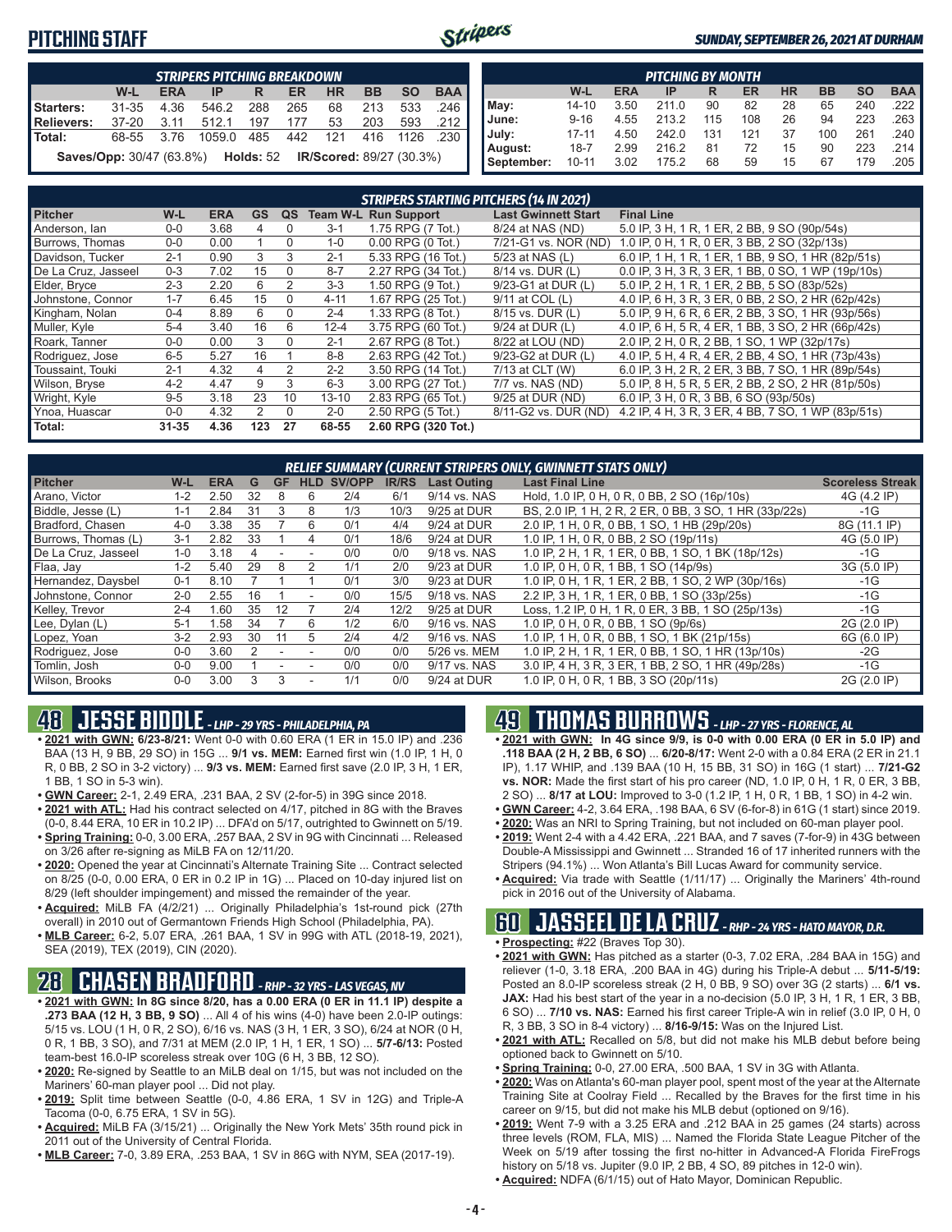### **PITCHING STAFF**



#### *SUNDAY, SEPTEMBER 26, 2021 AT DURHAM*

|                                                                                         |                                                                                  |      | <b>STRIPERS PITCHING BREAKDOWN</b> |     |     |         |     |      |                       |  |  |  |  |
|-----------------------------------------------------------------------------------------|----------------------------------------------------------------------------------|------|------------------------------------|-----|-----|---------|-----|------|-----------------------|--|--|--|--|
| <b>BAA</b><br><b>BB</b><br><b>SO</b><br>W-L<br><b>ERA</b><br><b>HR</b><br>ER<br>IP<br>R |                                                                                  |      |                                    |     |     |         |     |      |                       |  |  |  |  |
| Starters:                                                                               | $31 - 35$                                                                        | 4.36 | 546.2                              | 288 | 265 | 68      | 213 | 533  | $.246$ $\blacksquare$ |  |  |  |  |
| Relievers:                                                                              | 37-20                                                                            | 3.11 | 512.1                              | 197 | 177 | 53      | 203 | 593  | - 212 ∎               |  |  |  |  |
| Total:                                                                                  | 68-55                                                                            | 3.76 | 1059.0                             | 485 |     | 442 121 | 416 | 1126 | .230 I                |  |  |  |  |
|                                                                                         | <b>Saves/Opp:</b> 30/47 (63.8%) <b>Holds:</b> 52 <b>IR/Scored:</b> 89/27 (30.3%) |      |                                    |     |     |         |     |      |                       |  |  |  |  |

|            |                                                                                         |      | <b>PITCHING BY MONTH</b> |     |     |    |     |     |                       |  |  |  |  |  |  |
|------------|-----------------------------------------------------------------------------------------|------|--------------------------|-----|-----|----|-----|-----|-----------------------|--|--|--|--|--|--|
|            | <b>BAA</b><br><b>SO</b><br><b>HR</b><br><b>BB</b><br>W-L<br><b>ERA</b><br>ER<br>IP<br>R |      |                          |     |     |    |     |     |                       |  |  |  |  |  |  |
| May:       | $14 - 10$                                                                               | 3.50 | 211.0                    | 90  | 82  | 28 | 65  | 240 | $.222$ $\blacksquare$ |  |  |  |  |  |  |
| June:      | $9 - 16$                                                                                | 4.55 | 213.2                    | 115 | 108 | 26 | 94  | 223 | $.263$ $\blacksquare$ |  |  |  |  |  |  |
| July:      | $17 - 11$                                                                               | 4.50 | 242.0                    | 131 | 121 | 37 | 100 | 261 | .240                  |  |  |  |  |  |  |
| August:    | $18 - 7$                                                                                | 2.99 | 216.2                    | 81  | 72  | 15 | 90  | 223 | .214 I                |  |  |  |  |  |  |
| September: | $10 - 11$                                                                               | 3.02 | 175.2                    | 68  | 59  | 15 | 67  | 179 | .205                  |  |  |  |  |  |  |

|                     | <b>STRIPERS STARTING PITCHERS (14 IN 2021)</b> |            |                |          |           |                             |                            |                                                    |  |  |  |  |  |  |
|---------------------|------------------------------------------------|------------|----------------|----------|-----------|-----------------------------|----------------------------|----------------------------------------------------|--|--|--|--|--|--|
| <b>Pitcher</b>      | W-L                                            | <b>ERA</b> | <b>GS</b>      | QS       |           | <b>Team W-L Run Support</b> | <b>Last Gwinnett Start</b> | <b>Final Line</b>                                  |  |  |  |  |  |  |
| Anderson, Ian       | $0 - 0$                                        | 3.68       | 4              | $\Omega$ | $3 - 1$   | 1.75 RPG (7 Tot.)           | 8/24 at NAS (ND)           | 5.0 IP, 3 H, 1 R, 1 ER, 2 BB, 9 SO (90p/54s)       |  |  |  |  |  |  |
| Burrows. Thomas     | $0 - 0$                                        | 0.00       |                | $\Omega$ | $1 - 0$   | $0.00$ RPG $(0$ Tot.)       | 7/21-G1 vs. NOR (ND)       | 1.0 IP, 0 H, 1 R, 0 ER, 3 BB, 2 SO (32p/13s)       |  |  |  |  |  |  |
| Davidson, Tucker    | $2 - 1$                                        | 0.90       | 3              | 3        | $2 - 1$   | 5.33 RPG (16 Tot.)          | 5/23 at NAS (L)            | 6.0 IP, 1 H, 1 R, 1 ER, 1 BB, 9 SO, 1 HR (82p/51s) |  |  |  |  |  |  |
| De La Cruz, Jasseel | $0 - 3$                                        | 7.02       | 15             | $\Omega$ | $8 - 7$   | 2.27 RPG (34 Tot.)          | 8/14 vs. DUR (L)           | 0.0 IP, 3 H, 3 R, 3 ER, 1 BB, 0 SO, 1 WP (19p/10s) |  |  |  |  |  |  |
| Elder, Bryce        | $2 - 3$                                        | 2.20       | 6              | 2        | $3-3$     | 1.50 RPG (9 Tot.)           | 9/23-G1 at DUR (L)         | 5.0 IP, 2 H, 1 R, 1 ER, 2 BB, 5 SO (83p/52s)       |  |  |  |  |  |  |
| Johnstone, Connor   | $1 - 7$                                        | 6.45       | 15             | 0        | $4 - 11$  | 1.67 RPG (25 Tot.)          | 9/11 at COL (L)            | 4.0 IP, 6 H, 3 R, 3 ER, 0 BB, 2 SO, 2 HR (62p/42s) |  |  |  |  |  |  |
| Kingham, Nolan      | $0 - 4$                                        | 8.89       | 6              | $\Omega$ | $2 - 4$   | 1.33 RPG (8 Tot.)           | 8/15 vs. DUR (L)           | 5.0 IP, 9 H, 6 R, 6 ER, 2 BB, 3 SO, 1 HR (93p/56s) |  |  |  |  |  |  |
| Muller, Kyle        | $5 - 4$                                        | 3.40       | 16             | 6        | $12 - 4$  | 3.75 RPG (60 Tot.)          | 9/24 at DUR (L)            | 4.0 IP, 6 H, 5 R, 4 ER, 1 BB, 3 SO, 2 HR (66p/42s) |  |  |  |  |  |  |
| Roark, Tanner       | $0 - 0$                                        | 0.00       | 3              | $\Omega$ | $2 - 1$   | 2.67 RPG (8 Tot.)           | 8/22 at LOU (ND)           | 2.0 IP, 2 H, 0 R, 2 BB, 1 SO, 1 WP (32p/17s)       |  |  |  |  |  |  |
| Rodriguez, Jose     | $6 - 5$                                        | 5.27       | 16             |          | $8 - 8$   | 2.63 RPG (42 Tot.)          | 9/23-G2 at DUR (L)         | 4.0 IP, 5 H, 4 R, 4 ER, 2 BB, 4 SO, 1 HR (73p/43s) |  |  |  |  |  |  |
| Toussaint. Touki    | $2 - 1$                                        | 4.32       | 4              | 2        | $2 - 2$   | 3.50 RPG (14 Tot.)          | 7/13 at CLT (W)            | 6.0 IP, 3 H, 2 R, 2 ER, 3 BB, 7 SO, 1 HR (89p/54s) |  |  |  |  |  |  |
| Wilson, Bryse       | $4 - 2$                                        | 4.47       | 9              | 3        | $6 - 3$   | 3.00 RPG (27 Tot.)          | 7/7 vs. NAS (ND)           | 5.0 IP, 8 H, 5 R, 5 ER, 2 BB, 2 SO, 2 HR (81p/50s) |  |  |  |  |  |  |
| Wright, Kyle        | $9 - 5$                                        | 3.18       | 23             | 10       | $13 - 10$ | 2.83 RPG (65 Tot.)          | 9/25 at DUR (ND)           | 6.0 IP, 3 H, 0 R, 3 BB, 6 SO (93p/50s)             |  |  |  |  |  |  |
| Ynoa, Huascar       | $0 - 0$                                        | 4.32       | $\overline{2}$ | $\Omega$ | $2 - 0$   | 2.50 RPG (5 Tot.)           | 8/11-G2 vs. DUR (ND)       | 4.2 IP, 4 H, 3 R, 3 ER, 4 BB, 7 SO, 1 WP (83p/51s) |  |  |  |  |  |  |
| Total:              | $31 - 35$                                      | 4.36       | 123            | 27       | 68-55     | 2.60 RPG (320 Tot.)         |                            |                                                    |  |  |  |  |  |  |

| RELIEF SUMMARY (CURRENT STRIPERS ONLY, GWINNETT STATS ONLY) |         |            |    |    |                          |               |              |                    |                                                        |                         |  |  |  |
|-------------------------------------------------------------|---------|------------|----|----|--------------------------|---------------|--------------|--------------------|--------------------------------------------------------|-------------------------|--|--|--|
| <b>Pitcher</b>                                              | W-L     | <b>ERA</b> | G  | GF | HLD                      | <b>SV/OPP</b> | <b>IR/RS</b> | <b>Last Outing</b> | <b>Last Final Line</b>                                 | <b>Scoreless Streak</b> |  |  |  |
| Arano, Victor                                               | $1 - 2$ | 2.50       | 32 | 8  | 6                        | 2/4           | 6/1          | 9/14 vs. NAS       | Hold, 1.0 IP, 0 H, 0 R, 0 BB, 2 SO (16p/10s)           | 4G (4.2 IP)             |  |  |  |
| Biddle, Jesse (L)                                           | $1 - 1$ | 2.84       | 31 | 3  | 8                        | 1/3           | 10/3         | 9/25 at DUR        | BS, 2.0 IP, 1 H, 2 R, 2 ER, 0 BB, 3 SO, 1 HR (33p/22s) | $-1G$                   |  |  |  |
| Bradford, Chasen                                            | $4 - 0$ | 3.38       | 35 |    | 6                        | 0/1           | 4/4          | 9/24 at DUR        | 2.0 IP, 1 H, 0 R, 0 BB, 1 SO, 1 HB (29p/20s)           | 8G (11.1 IP)            |  |  |  |
| Burrows, Thomas (L)                                         | $3 - 1$ | 2.82       | 33 |    | 4                        | 0/1           | 18/6         | 9/24 at DUR        | 1.0 IP, 1 H, 0 R, 0 BB, 2 SO (19p/11s)                 | 4G (5.0 IP)             |  |  |  |
| De La Cruz, Jasseel                                         | $1 - 0$ | 3.18       |    |    |                          | 0/0           | 0/0          | 9/18 vs. NAS       | 1.0 IP, 2 H, 1 R, 1 ER, 0 BB, 1 SO, 1 BK (18p/12s)     | $-1G$                   |  |  |  |
| Flaa, Jay                                                   | $1 - 2$ | 5.40       | 29 | 8  |                          | 1/1           | 2/0          | 9/23 at DUR        | 1.0 IP, 0 H, 0 R, 1 BB, 1 SO (14p/9s)                  | 3G (5.0 IP)             |  |  |  |
| Hernandez, Daysbel                                          | $0 - 1$ | 8.10       |    |    |                          | 0/1           | 3/0          | 9/23 at DUR        | 1.0 IP, 0 H, 1 R, 1 ER, 2 BB, 1 SO, 2 WP (30p/16s)     | -1G                     |  |  |  |
| Johnstone, Connor                                           | $2 - 0$ | 2.55       | 16 |    | $\overline{\phantom{a}}$ | 0/0           | 15/5         | 9/18 vs. NAS       | 2.2 IP, 3 H, 1 R, 1 ER, 0 BB, 1 SO (33p/25s)           | $-1G$                   |  |  |  |
| Kelley, Trevor                                              | $2 - 4$ | .60        | 35 | 12 |                          | 2/4           | 12/2         | 9/25 at DUR        | Loss, 1.2 IP, 0 H, 1 R, 0 ER, 3 BB, 1 SO (25p/13s)     | $-1G$                   |  |  |  |
| Lee, Dylan (L)                                              | $5-1$   | 1.58       | 34 |    | 6                        | 1/2           | 6/0          | 9/16 vs. NAS       | 1.0 IP, 0 H, 0 R, 0 BB, 1 SO (9p/6s)                   | 2G (2.0 IP)             |  |  |  |
| Lopez, Yoan                                                 | $3 - 2$ | 2.93       | 30 | 11 | 5                        | 2/4           | 4/2          | 9/16 vs. NAS       | 1.0 IP, 1 H, 0 R, 0 BB, 1 SO, 1 BK (21p/15s)           | 6G (6.0 IP)             |  |  |  |
| Rodriguez, Jose                                             | $0 - 0$ | 3.60       |    |    |                          | 0/0           | 0/0          | 5/26 vs. MEM       | 1.0 IP, 2 H, 1 R, 1 ER, 0 BB, 1 SO, 1 HR (13p/10s)     | $-2G$                   |  |  |  |
| Tomlin, Josh                                                | $0 - 0$ | 9.00       |    |    |                          | 0/0           | 0/0          | 9/17 vs. NAS       | 3.0 IP, 4 H, 3 R, 3 ER, 1 BB, 2 SO, 1 HR (49p/28s)     | -1G                     |  |  |  |
| Wilson, Brooks                                              | $0-0$   | 3.00       |    | 3  |                          | 1/1           | 0/0          | 9/24 at DUR        | 1.0 IP, 0 H, 0 R, 1 BB, 3 SO (20p/11s)                 | 2G (2.0 IP)             |  |  |  |

### **48 JESSE BIDDLE** *- LHP - 29 YRS - PHILADELPHIA, PA*

**• 2021 with GWN: 6/23-8/21:** Went 0-0 with 0.60 ERA (1 ER in 15.0 IP) and .236 BAA (13 H, 9 BB, 29 SO) in 15G ... **9/1 vs. MEM:** Earned first win (1.0 IP, 1 H, 0 R, 0 BB, 2 SO in 3-2 victory) ... **9/3 vs. MEM:** Earned first save (2.0 IP, 3 H, 1 ER, 1 BB, 1 SO in 5-3 win).

- **• GWN Career:** 2-1, 2.49 ERA, .231 BAA, 2 SV (2-for-5) in 39G since 2018.
- **• 2021 with ATL:** Had his contract selected on 4/17, pitched in 8G with the Braves (0-0, 8.44 ERA, 10 ER in 10.2 IP) ... DFA'd on 5/17, outrighted to Gwinnett on 5/19.
- **• Spring Training:** 0-0, 3.00 ERA, .257 BAA, 2 SV in 9G with Cincinnati ... Released on 3/26 after re-signing as MiLB FA on 12/11/20.
- **• 2020:** Opened the year at Cincinnati's Alternate Training Site ... Contract selected on 8/25 (0-0, 0.00 ERA, 0 ER in 0.2 IP in 1G) ... Placed on 10-day injured list on 8/29 (left shoulder impingement) and missed the remainder of the year.
- **• Acquired:** MiLB FA (4/2/21) ... Originally Philadelphia's 1st-round pick (27th overall) in 2010 out of Germantown Friends High School (Philadelphia, PA).
- **• MLB Career:** 6-2, 5.07 ERA, .261 BAA, 1 SV in 99G with ATL (2018-19, 2021), SEA (2019), TEX (2019), CIN (2020).

### **28 CHASEN BRADFORD** *- RHP - 32 YRS - LAS VEGAS, NV*

- **• 2021 with GWN: In 8G since 8/20, has a 0.00 ERA (0 ER in 11.1 IP) despite a .273 BAA (12 H, 3 BB, 9 SO)** ... All 4 of his wins (4-0) have been 2.0-IP outings: 5/15 vs. LOU (1 H, 0 R, 2 SO), 6/16 vs. NAS (3 H, 1 ER, 3 SO), 6/24 at NOR (0 H, 0 R, 1 BB, 3 SO), and 7/31 at MEM (2.0 IP, 1 H, 1 ER, 1 SO) ... **5/7-6/13:** Posted team-best 16.0-IP scoreless streak over 10G (6 H, 3 BB, 12 SO).
- **• 2020:** Re-signed by Seattle to an MiLB deal on 1/15, but was not included on the Mariners' 60-man player pool ... Did not play.
- **• 2019:** Split time between Seattle (0-0, 4.86 ERA, 1 SV in 12G) and Triple-A Tacoma (0-0, 6.75 ERA, 1 SV in 5G).
- **• Acquired:** MiLB FA (3/15/21) ... Originally the New York Mets' 35th round pick in 2011 out of the University of Central Florida.
- **• MLB Career:** 7-0, 3.89 ERA, .253 BAA, 1 SV in 86G with NYM, SEA (2017-19).

# **49 THOMAS BURROWS** *- LHP - 27 YRS - FLORENCE, AL*

- **• 2021 with GWN: In 4G since 9/9, is 0-0 with 0.00 ERA (0 ER in 5.0 IP) and .118 BAA (2 H, 2 BB, 6 SO)** ... **6/20-8/17:** Went 2-0 with a 0.84 ERA (2 ER in 21.1 IP), 1.17 WHIP, and .139 BAA (10 H, 15 BB, 31 SO) in 16G (1 start) ... **7/21-G2 vs. NOR:** Made the first start of his pro career (ND, 1.0 IP, 0 H, 1 R, 0 ER, 3 BB, 2 SO) ... **8/17 at LOU:** Improved to 3-0 (1.2 IP, 1 H, 0 R, 1 BB, 1 SO) in 4-2 win.
- **• GWN Career:** 4-2, 3.64 ERA, .198 BAA, 6 SV (6-for-8) in 61G (1 start) since 2019.
- **• 2020:** Was an NRI to Spring Training, but not included on 60-man player pool.
- **• 2019:** Went 2-4 with a 4.42 ERA, .221 BAA, and 7 saves (7-for-9) in 43G between Double-A Mississippi and Gwinnett ... Stranded 16 of 17 inherited runners with the Stripers (94.1%) ... Won Atlanta's Bill Lucas Award for community service.
- **• Acquired:** Via trade with Seattle (1/11/17) ... Originally the Mariners' 4th-round pick in 2016 out of the University of Alabama.

# **60 JASSEEL DE LA CRUZ** *- RHP - 24 YRS - HATO MAYOR, D.R.*

- **• Prospecting:** #22 (Braves Top 30).
- **• 2021 with GWN:** Has pitched as a starter (0-3, 7.02 ERA, .284 BAA in 15G) and reliever (1-0, 3.18 ERA, .200 BAA in 4G) during his Triple-A debut ... **5/11-5/19:** Posted an 8.0-IP scoreless streak (2 H, 0 BB, 9 SO) over 3G (2 starts) ... **6/1 vs. JAX:** Had his best start of the year in a no-decision (5.0 IP, 3 H, 1 R, 1 ER, 3 BB, 6 SO) ... **7/10 vs. NAS:** Earned his first career Triple-A win in relief (3.0 IP, 0 H, 0 R, 3 BB, 3 SO in 8-4 victory) ... **8/16-9/15:** Was on the Injured List.
- **• 2021 with ATL:** Recalled on 5/8, but did not make his MLB debut before being optioned back to Gwinnett on 5/10.
- **• Spring Training:** 0-0, 27.00 ERA, .500 BAA, 1 SV in 3G with Atlanta.
- **• 2020:** Was on Atlanta's 60-man player pool, spent most of the year at the Alternate Training Site at Coolray Field ... Recalled by the Braves for the first time in his career on 9/15, but did not make his MLB debut (optioned on 9/16).
- **• 2019:** Went 7-9 with a 3.25 ERA and .212 BAA in 25 games (24 starts) across three levels (ROM, FLA, MIS) ... Named the Florida State League Pitcher of the Week on 5/19 after tossing the first no-hitter in Advanced-A Florida FireFrogs history on 5/18 vs. Jupiter (9.0 IP, 2 BB, 4 SO, 89 pitches in 12-0 win).
- **• Acquired:** NDFA (6/1/15) out of Hato Mayor, Dominican Republic.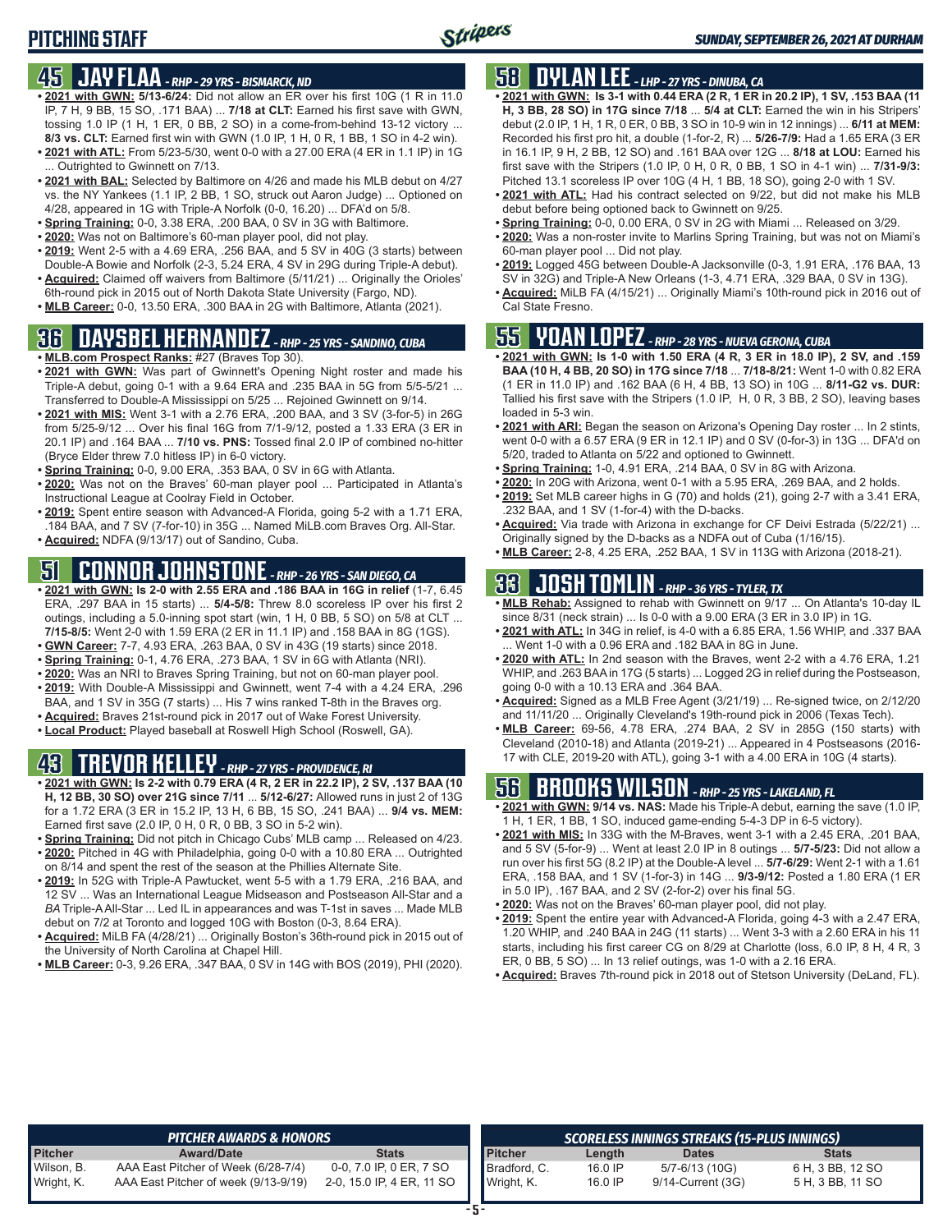### **45 JAY FLAA** *- RHP - 29 YRS - BISMARCK, ND*

- **• 2021 with GWN: 5/13-6/24:** Did not allow an ER over his first 10G (1 R in 11.0 IP, 7 H, 9 BB, 15 SO, .171 BAA) ... **7/18 at CLT:** Earned his first save with GWN, tossing 1.0 IP (1 H, 1 ER, 0 BB, 2 SO) in a come-from-behind 13-12 victory ... **8/3 vs. CLT:** Earned first win with GWN (1.0 IP, 1 H, 0 R, 1 BB, 1 SO in 4-2 win).
- **• 2021 with ATL:** From 5/23-5/30, went 0-0 with a 27.00 ERA (4 ER in 1.1 IP) in 1G ... Outrighted to Gwinnett on 7/13.
- **• 2021 with BAL:** Selected by Baltimore on 4/26 and made his MLB debut on 4/27 vs. the NY Yankees (1.1 IP, 2 BB, 1 SO, struck out Aaron Judge) ... Optioned on 4/28, appeared in 1G with Triple-A Norfolk (0-0, 16.20) ... DFA'd on 5/8.
- **• Spring Training:** 0-0, 3.38 ERA, .200 BAA, 0 SV in 3G with Baltimore.
- **• 2020:** Was not on Baltimore's 60-man player pool, did not play.
- **• 2019:** Went 2-5 with a 4.69 ERA, .256 BAA, and 5 SV in 40G (3 starts) between Double-A Bowie and Norfolk (2-3, 5.24 ERA, 4 SV in 29G during Triple-A debut).
- **• Acquired:** Claimed off waivers from Baltimore (5/11/21) ... Originally the Orioles' 6th-round pick in 2015 out of North Dakota State University (Fargo, ND).
- **• MLB Career:** 0-0, 13.50 ERA, .300 BAA in 2G with Baltimore, Atlanta (2021).

# **36 DAYSBEL HERNANDEZ** *- RHP - 25 YRS - SANDINO, CUBA*

- **• MLB.com Prospect Ranks:** #27 (Braves Top 30).
- **• 2021 with GWN:** Was part of Gwinnett's Opening Night roster and made his Triple-A debut, going 0-1 with a 9.64 ERA and .235 BAA in 5G from 5/5-5/21 ... Transferred to Double-A Mississippi on 5/25 ... Rejoined Gwinnett on 9/14.
- **• 2021 with MIS:** Went 3-1 with a 2.76 ERA, .200 BAA, and 3 SV (3-for-5) in 26G from 5/25-9/12 ... Over his final 16G from 7/1-9/12, posted a 1.33 ERA (3 ER in 20.1 IP) and .164 BAA ... **7/10 vs. PNS:** Tossed final 2.0 IP of combined no-hitter (Bryce Elder threw 7.0 hitless IP) in 6-0 victory.
- **• Spring Training:** 0-0, 9.00 ERA, .353 BAA, 0 SV in 6G with Atlanta.
- **• 2020:** Was not on the Braves' 60-man player pool ... Participated in Atlanta's Instructional League at Coolray Field in October.
- **• 2019:** Spent entire season with Advanced-A Florida, going 5-2 with a 1.71 ERA, .184 BAA, and 7 SV (7-for-10) in 35G ... Named MiLB.com Braves Org. All-Star.
- **• Acquired:** NDFA (9/13/17) out of Sandino, Cuba.

# **51 CONNOR JOHNSTONE** *- RHP - 26 YRS - SAN DIEGO, CA*

- **• 2021 with GWN: Is 2-0 with 2.55 ERA and .186 BAA in 16G in relief** (1-7, 6.45 ERA, .297 BAA in 15 starts) ... **5/4-5/8:** Threw 8.0 scoreless IP over his first 2 outings, including a 5.0-inning spot start (win, 1 H, 0 BB, 5 SO) on 5/8 at CLT ... **7/15-8/5:** Went 2-0 with 1.59 ERA (2 ER in 11.1 IP) and .158 BAA in 8G (1GS). **• GWN Career:** 7-7, 4.93 ERA, .263 BAA, 0 SV in 43G (19 starts) since 2018.
- **• Spring Training:** 0-1, 4.76 ERA, .273 BAA, 1 SV in 6G with Atlanta (NRI).
- **• 2020:** Was an NRI to Braves Spring Training, but not on 60-man player pool.
- **• 2019:** With Double-A Mississippi and Gwinnett, went 7-4 with a 4.24 ERA, .296
- BAA, and 1 SV in 35G (7 starts) ... His 7 wins ranked T-8th in the Braves org.
- **• Acquired:** Braves 21st-round pick in 2017 out of Wake Forest University.
- **• Local Product:** Played baseball at Roswell High School (Roswell, GA).

# **43 TREVOR KELLEY** *- RHP - 27 YRS - PROVIDENCE, RI*

- **• 2021 with GWN: Is 2-2 with 0.79 ERA (4 R, 2 ER in 22.2 IP), 2 SV, .137 BAA (10 H, 12 BB, 30 SO) over 21G since 7/11** ... **5/12-6/27:** Allowed runs in just 2 of 13G for a 1.72 ERA (3 ER in 15.2 IP, 13 H, 6 BB, 15 SO, .241 BAA) ... **9/4 vs. MEM:** Earned first save (2.0 IP, 0 H, 0 R, 0 BB, 3 SO in 5-2 win).
- **• Spring Training:** Did not pitch in Chicago Cubs' MLB camp ... Released on 4/23. **• 2020:** Pitched in 4G with Philadelphia, going 0-0 with a 10.80 ERA ... Outrighted
- on 8/14 and spent the rest of the season at the Phillies Alternate Site.
- **• 2019:** In 52G with Triple-A Pawtucket, went 5-5 with a 1.79 ERA, .216 BAA, and 12 SV ... Was an International League Midseason and Postseason All-Star and a *BA* Triple-A All-Star ... Led IL in appearances and was T-1st in saves ... Made MLB debut on 7/2 at Toronto and logged 10G with Boston (0-3, 8.64 ERA).
- **• Acquired:** MiLB FA (4/28/21) ... Originally Boston's 36th-round pick in 2015 out of the University of North Carolina at Chapel Hill.
- **• MLB Career:** 0-3, 9.26 ERA, .347 BAA, 0 SV in 14G with BOS (2019), PHI (2020).

### **58 DYLAN LEE** *- LHP - 27 YRS - DINUBA, CA*

- **• 2021 with GWN: Is 3-1 with 0.44 ERA (2 R, 1 ER in 20.2 IP), 1 SV, .153 BAA (11 H, 3 BB, 28 SO) in 17G since 7/18** ... **5/4 at CLT:** Earned the win in his Stripers' debut (2.0 IP, 1 H, 1 R, 0 ER, 0 BB, 3 SO in 10-9 win in 12 innings) ... **6/11 at MEM:** Recorded his first pro hit, a double (1-for-2, R) ... **5/26-7/9:** Had a 1.65 ERA (3 ER in 16.1 IP, 9 H, 2 BB, 12 SO) and .161 BAA over 12G ... **8/18 at LOU:** Earned his first save with the Stripers (1.0 IP, 0 H, 0 R, 0 BB, 1 SO in 4-1 win) ... **7/31-9/3:** Pitched 13.1 scoreless IP over 10G (4 H, 1 BB, 18 SO), going 2-0 with 1 SV.
- **• 2021 with ATL:** Had his contract selected on 9/22, but did not make his MLB debut before being optioned back to Gwinnett on 9/25.
- **• Spring Training:** 0-0, 0.00 ERA, 0 SV in 2G with Miami ... Released on 3/29.
- **• 2020:** Was a non-roster invite to Marlins Spring Training, but was not on Miami's 60-man player pool ... Did not play.
- **• 2019:** Logged 45G between Double-A Jacksonville (0-3, 1.91 ERA, .176 BAA, 13 SV in 32G) and Triple-A New Orleans (1-3, 4.71 ERA, .329 BAA, 0 SV in 13G).
- **• Acquired:** MiLB FA (4/15/21) ... Originally Miami's 10th-round pick in 2016 out of Cal State Fresno.

# **55 YOAN LOPEZ** *- RHP - 28 YRS - NUEVA GERONA, CUBA*

- **• 2021 with GWN: Is 1-0 with 1.50 ERA (4 R, 3 ER in 18.0 IP), 2 SV, and .159 BAA (10 H, 4 BB, 20 SO) in 17G since 7/18** ... **7/18-8/21:** Went 1-0 with 0.82 ERA (1 ER in 11.0 IP) and .162 BAA (6 H, 4 BB, 13 SO) in 10G ... **8/11-G2 vs. DUR:** Tallied his first save with the Stripers (1.0 IP, H, 0 R, 3 BB, 2 SO), leaving bases loaded in 5-3 win.
- **• 2021 with ARI:** Began the season on Arizona's Opening Day roster ... In 2 stints, went 0-0 with a 6.57 ERA (9 ER in 12.1 IP) and 0 SV (0-for-3) in 13G ... DFA'd on 5/20, traded to Atlanta on 5/22 and optioned to Gwinnett.
- **• Spring Training:** 1-0, 4.91 ERA, .214 BAA, 0 SV in 8G with Arizona.
- **• 2020:** In 20G with Arizona, went 0-1 with a 5.95 ERA, .269 BAA, and 2 holds. **• 2019:** Set MLB career highs in G (70) and holds (21), going 2-7 with a 3.41 ERA,
- .232 BAA, and 1 SV (1-for-4) with the D-backs. **• Acquired:** Via trade with Arizona in exchange for CF Deivi Estrada (5/22/21) ...
- Originally signed by the D-backs as a NDFA out of Cuba (1/16/15).
- **• MLB Career:** 2-8, 4.25 ERA, .252 BAA, 1 SV in 113G with Arizona (2018-21).

# **33 JOSH TOMLIN** *- RHP - 36 YRS - TYLER, TX*

- **• MLB Rehab:** Assigned to rehab with Gwinnett on 9/17 ... On Atlanta's 10-day IL since 8/31 (neck strain) ... Is 0-0 with a 9.00 ERA (3 ER in 3.0 IP) in 1G.
- **• 2021 with ATL:** In 34G in relief, is 4-0 with a 6.85 ERA, 1.56 WHIP, and .337 BAA ... Went 1-0 with a 0.96 ERA and .182 BAA in 8G in June.
- **• 2020 with ATL:** In 2nd season with the Braves, went 2-2 with a 4.76 ERA, 1.21 WHIP, and .263 BAA in 17G (5 starts) ... Logged 2G in relief during the Postseason, going 0-0 with a 10.13 ERA and .364 BAA.
- **• Acquired:** Signed as a MLB Free Agent (3/21/19) ... Re-signed twice, on 2/12/20 and 11/11/20 ... Originally Cleveland's 19th-round pick in 2006 (Texas Tech).
- **• MLB Career:** 69-56, 4.78 ERA, .274 BAA, 2 SV in 285G (150 starts) with Cleveland (2010-18) and Atlanta (2019-21) ... Appeared in 4 Postseasons (2016- 17 with CLE, 2019-20 with ATL), going 3-1 with a 4.00 ERA in 10G (4 starts).

# **56 BROOKS WILSON** *- RHP - 25 YRS - LAKELAND, FL*

- **• 2021 with GWN: 9/14 vs. NAS:** Made his Triple-A debut, earning the save (1.0 IP, 1 H, 1 ER, 1 BB, 1 SO, induced game-ending 5-4-3 DP in 6-5 victory).
- **• 2021 with MIS:** In 33G with the M-Braves, went 3-1 with a 2.45 ERA, .201 BAA, and 5 SV (5-for-9) ... Went at least 2.0 IP in 8 outings ... **5/7-5/23:** Did not allow a run over his first 5G (8.2 IP) at the Double-A level ... **5/7-6/29:** Went 2-1 with a 1.61 ERA, .158 BAA, and 1 SV (1-for-3) in 14G ... **9/3-9/12:** Posted a 1.80 ERA (1 ER in 5.0 IP), .167 BAA, and 2 SV (2-for-2) over his final 5G.
- **• 2020:** Was not on the Braves' 60-man player pool, did not play.
- **• 2019:** Spent the entire year with Advanced-A Florida, going 4-3 with a 2.47 ERA, 1.20 WHIP, and .240 BAA in 24G (11 starts) ... Went 3-3 with a 2.60 ERA in his 11 starts, including his first career CG on 8/29 at Charlotte (loss, 6.0 IP, 8 H, 4 R, 3 ER, 0 BB, 5 SO) ... In 13 relief outings, was 1-0 with a 2.16 ERA.
- **• Acquired:** Braves 7th-round pick in 2018 out of Stetson University (DeLand, FL).

|                | <b>PITCHER AWARDS &amp; HONORS</b>   |                           |                |         | SCORELESS INNINGS STREAKS (15-PLUS INNINGS) ' |                  |
|----------------|--------------------------------------|---------------------------|----------------|---------|-----------------------------------------------|------------------|
| <b>Pitcher</b> | Award/Date                           | Stats                     | <b>Pitcher</b> | Length  | <b>Dates</b>                                  | <b>Stats</b>     |
| Wilson, B.     | AAA East Pitcher of Week (6/28-7/4)  | 0-0, 7.0 IP, 0 ER, 7 SO   | Bradford, C.   | 16.0 IP | 5/7-6/13 (10G)                                | 6 H. 3 BB. 12 SO |
| Wright, K.     | AAA East Pitcher of week (9/13-9/19) | 2-0, 15.0 IP, 4 ER, 11 SO | Wright, K.     | 16.0 IP | $9/14$ -Current (3G)                          | 5 H, 3 BB, 11 SO |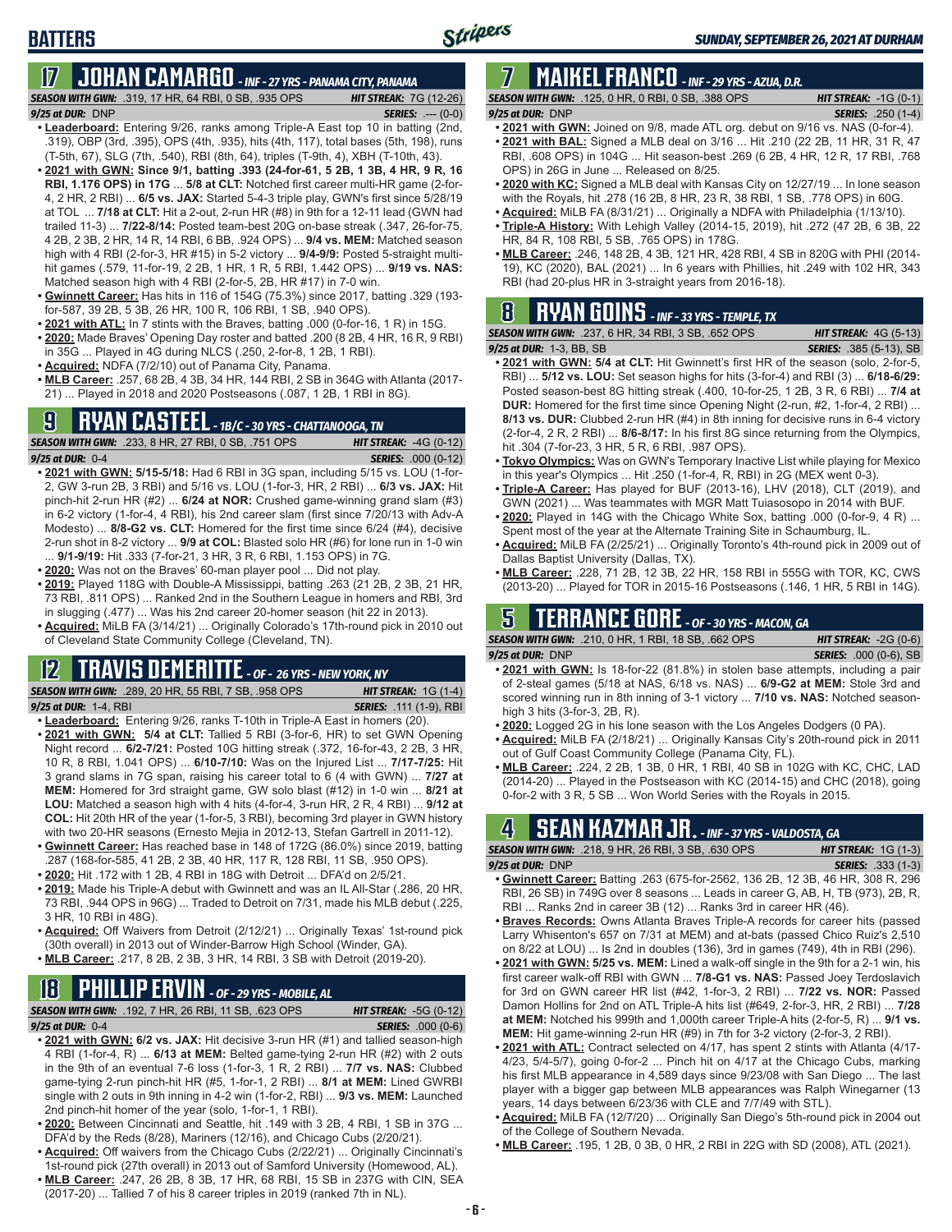# **17 JOHAN CAMARGO** *- INF - 27 YRS - PANAMA CITY, PANAMA*

*SEASON WITH GWN:*.319, 17 HR, 64 RBI, 0 SB, .935 OPS *HIT STREAK:* 7G (12-26) *9/25 at DUR:* DNP *SERIES:* .--- (0-0)

- **• Leaderboard:** Entering 9/26, ranks among Triple-A East top 10 in batting (2nd, .319), OBP (3rd, .395), OPS (4th, .935), hits (4th, 117), total bases (5th, 198), runs (T-5th, 67), SLG (7th, .540), RBI (8th, 64), triples (T-9th, 4), XBH (T-10th, 43).
- **• 2021 with GWN: Since 9/1, batting .393 (24-for-61, 5 2B, 1 3B, 4 HR, 9 R, 16 RBI, 1.176 OPS) in 17G** ... **5/8 at CLT:** Notched first career multi-HR game (2-for-4, 2 HR, 2 RBI) ... **6/5 vs. JAX:** Started 5-4-3 triple play, GWN's first since 5/28/19 at TOL ... **7/18 at CLT:** Hit a 2-out, 2-run HR (#8) in 9th for a 12-11 lead (GWN had trailed 11-3) ... **7/22-8/14:** Posted team-best 20G on-base streak (.347, 26-for-75, 4 2B, 2 3B, 2 HR, 14 R, 14 RBI, 6 BB, .924 OPS) ... **9/4 vs. MEM:** Matched season high with 4 RBI (2-for-3, HR #15) in 5-2 victory ... **9/4-9/9:** Posted 5-straight multihit games (.579, 11-for-19, 2 2B, 1 HR, 1 R, 5 RBI, 1.442 OPS) ... **9/19 vs. NAS:** Matched season high with 4 RBI (2-for-5, 2B, HR #17) in 7-0 win.
- **• Gwinnett Career:** Has hits in 116 of 154G (75.3%) since 2017, batting .329 (193 for-587, 39 2B, 5 3B, 26 HR, 100 R, 106 RBI, 1 SB, .940 OPS).
- **• 2021 with ATL:** In 7 stints with the Braves, batting .000 (0-for-16, 1 R) in 15G.
- **• 2020:** Made Braves' Opening Day roster and batted .200 (8 2B, 4 HR, 16 R, 9 RBI) in 35G ... Played in 4G during NLCS (.250, 2-for-8, 1 2B, 1 RBI).
- **• Acquired:** NDFA (7/2/10) out of Panama City, Panama.
- **• MLB Career:** .257, 68 2B, 4 3B, 34 HR, 144 RBI, 2 SB in 364G with Atlanta (2017- 21) ... Played in 2018 and 2020 Postseasons (.087, 1 2B, 1 RBI in 8G).

# **9 RYAN CASTEEL** *- 1B/C - 30 YRS - CHATTANOOGA, TN*

*SEASON WITH GWN:*.233, 8 HR, 27 RBI, 0 SB, .751 OPS *HIT STREAK:* -4G (0-12) *9/25 at DUR:*0-4 *SERIES:* .000 (0-12)

- **• 2021 with GWN: 5/15-5/18:** Had 6 RBI in 3G span, including 5/15 vs. LOU (1-for-2, GW 3-run 2B, 3 RBI) and 5/16 vs. LOU (1-for-3, HR, 2 RBI) ... **6/3 vs. JAX:** Hit pinch-hit 2-run HR (#2) ... **6/24 at NOR:** Crushed game-winning grand slam (#3) in 6-2 victory (1-for-4, 4 RBI), his 2nd career slam (first since 7/20/13 with Adv-A Modesto) ... **8/8-G2 vs. CLT:** Homered for the first time since 6/24 (#4), decisive 2-run shot in 8-2 victory ... **9/9 at COL:** Blasted solo HR (#6) for lone run in 1-0 win ... **9/1-9/19:** Hit .333 (7-for-21, 3 HR, 3 R, 6 RBI, 1.153 OPS) in 7G.
- **• 2020:** Was not on the Braves' 60-man player pool ... Did not play.
- **• 2019:** Played 118G with Double-A Mississippi, batting .263 (21 2B, 2 3B, 21 HR, 73 RBI, .811 OPS) ... Ranked 2nd in the Southern League in homers and RBI, 3rd in slugging (.477) ... Was his 2nd career 20-homer season (hit 22 in 2013).
- **• Acquired:** MiLB FA (3/14/21) ... Originally Colorado's 17th-round pick in 2010 out of Cleveland State Community College (Cleveland, TN).

#### **12 TRAVIS DEMERITTE** *- OF - 26 YRS - NEW YORK, NY*

*SEASON WITH GWN:*.289, 20 HR, 55 RBI, 7 SB, .958 OPS *HIT STREAK:* 1G (1-4) *9/25 at DUR:*1-4, RBI *SERIES:* .111 (1-9), RBI

- **• Leaderboard:** Entering 9/26, ranks T-10th in Triple-A East in homers (20). **• 2021 with GWN: 5/4 at CLT:** Tallied 5 RBI (3-for-6, HR) to set GWN Opening
- Night record ... **6/2-7/21:** Posted 10G hitting streak (.372, 16-for-43, 2 2B, 3 HR, 10 R, 8 RBI, 1.041 OPS) ... **6/10-7/10:** Was on the Injured List ... **7/17-7/25:** Hit 3 grand slams in 7G span, raising his career total to 6 (4 with GWN) ... **7/27 at MEM:** Homered for 3rd straight game, GW solo blast (#12) in 1-0 win ... **8/21 at LOU:** Matched a season high with 4 hits (4-for-4, 3-run HR, 2 R, 4 RBI) ... **9/12 at COL:** Hit 20th HR of the year (1-for-5, 3 RBI), becoming 3rd player in GWN history with two 20-HR seasons (Ernesto Mejia in 2012-13, Stefan Gartrell in 2011-12).
- **• Gwinnett Career:** Has reached base in 148 of 172G (86.0%) since 2019, batting .287 (168-for-585, 41 2B, 2 3B, 40 HR, 117 R, 128 RBI, 11 SB, .950 OPS).
- **• 2020:** Hit .172 with 1 2B, 4 RBI in 18G with Detroit ... DFA'd on 2/5/21.
- **• 2019:** Made his Triple-A debut with Gwinnett and was an IL All-Star (.286, 20 HR, 73 RBI, .944 OPS in 96G) ... Traded to Detroit on 7/31, made his MLB debut (.225, 3 HR, 10 RBI in 48G).
- **• Acquired:** Off Waivers from Detroit (2/12/21) ... Originally Texas' 1st-round pick (30th overall) in 2013 out of Winder-Barrow High School (Winder, GA).
- **• MLB Career:** .217, 8 2B, 2 3B, 3 HR, 14 RBI, 3 SB with Detroit (2019-20).

# **18 PHILLIP ERVIN** *- OF - 29 YRS - MOBILE, AL*

*SEASON WITH GWN:*.192, 7 HR, 26 RBI, 11 SB, .623 OPS *HIT STREAK:* -5G (0-12)

*9/25 at DUR:*0-4 *SERIES:* .000 (0-6)

- **• 2021 with GWN: 6/2 vs. JAX:** Hit decisive 3-run HR (#1) and tallied season-high 4 RBI (1-for-4, R) ... **6/13 at MEM:** Belted game-tying 2-run HR (#2) with 2 outs in the 9th of an eventual 7-6 loss (1-for-3, 1 R, 2 RBI) ... **7/7 vs. NAS:** Clubbed game-tying 2-run pinch-hit HR (#5, 1-for-1, 2 RBI) ... **8/1 at MEM:** Lined GWRBI single with 2 outs in 9th inning in 4-2 win (1-for-2, RBI) ... **9/3 vs. MEM:** Launched 2nd pinch-hit homer of the year (solo, 1-for-1, 1 RBI).
- **• 2020:** Between Cincinnati and Seattle, hit .149 with 3 2B, 4 RBI, 1 SB in 37G ... DFA'd by the Reds (8/28), Mariners (12/16), and Chicago Cubs (2/20/21).
- **• Acquired:** Off waivers from the Chicago Cubs (2/22/21) ... Originally Cincinnati's 1st-round pick (27th overall) in 2013 out of Samford University (Homewood, AL).
- **• MLB Career:** .247, 26 2B, 8 3B, 17 HR, 68 RBI, 15 SB in 237G with CIN, SEA (2017-20) ... Tallied 7 of his 8 career triples in 2019 (ranked 7th in NL).

# **7 MAIKEL FRANCO** *- INF - 29 YRS - AZUA, D.R.*

*SEASON WITH GWN:*.125, 0 HR, 0 RBI, 0 SB, .388 OPS *HIT STREAK:* -1G (0-1) *9/25 at DUR:*DNP *SERIES:* .250 (1-4)

- **• 2021 with GWN:** Joined on 9/8, made ATL org. debut on 9/16 vs. NAS (0-for-4).
- **• 2021 with BAL:** Signed a MLB deal on 3/16 ... Hit .210 (22 2B, 11 HR, 31 R, 47 RBI, .608 OPS) in 104G ... Hit season-best .269 (6 2B, 4 HR, 12 R, 17 RBI, .768 OPS) in 26G in June ... Released on 8/25.
- **• 2020 with KC:** Signed a MLB deal with Kansas City on 12/27/19 ... In lone season with the Royals, hit .278 (16 2B, 8 HR, 23 R, 38 RBI, 1 SB, .778 OPS) in 60G.
- **• Acquired:** MiLB FA (8/31/21) ... Originally a NDFA with Philadelphia (1/13/10).
- **• Triple-A History:** With Lehigh Valley (2014-15, 2019), hit .272 (47 2B, 6 3B, 22 HR, 84 R, 108 RBI, 5 SB, .765 OPS) in 178G.
- **• MLB Career:** .246, 148 2B, 4 3B, 121 HR, 428 RBI, 4 SB in 820G with PHI (2014- 19), KC (2020), BAL (2021) ... In 6 years with Phillies, hit .249 with 102 HR, 343 RBI (had 20-plus HR in 3-straight years from 2016-18).

### **8 RYAN GOINS** *- INF - 33 YRS - TEMPLE, TX*

| <b>SEASON WITH GWN: .237. 6 HR. 34 RBI. 3 SB. .652 OPS</b> | <b>HIT STREAK:</b> $4G(5-13)$  |
|------------------------------------------------------------|--------------------------------|
| 9/25 at DUR: 1-3, BB, SB                                   | <b>SERIES:</b> .385 (5-13), SB |

- **• 2021 with GWN: 5/4 at CLT:** Hit Gwinnett's first HR of the season (solo, 2-for-5, RBI) ... **5/12 vs. LOU:** Set season highs for hits (3-for-4) and RBI (3) ... **6/18-6/29:** Posted season-best 8G hitting streak (.400, 10-for-25, 1 2B, 3 R, 6 RBI) ... **7/4 at DUR:** Homered for the first time since Opening Night (2-run, #2, 1-for-4, 2 RBI) ... **8/13 vs. DUR:** Clubbed 2-run HR (#4) in 8th inning for decisive runs in 6-4 victory (2-for-4, 2 R, 2 RBI) ... **8/6-8/17:** In his first 8G since returning from the Olympics, hit .304 (7-for-23, 3 HR, 5 R, 6 RBI, .987 OPS).
- **• Tokyo Olympics:** Was on GWN's Temporary Inactive List while playing for Mexico in this year's Olympics ... Hit .250 (1-for-4, R, RBI) in 2G (MEX went 0-3).
- **• Triple-A Career:** Has played for BUF (2013-16), LHV (2018), CLT (2019), and GWN (2021) ... Was teammates with MGR Matt Tuiasosopo in 2014 with BUF.
- **• 2020:** Played in 14G with the Chicago White Sox, batting .000 (0-for-9, 4 R) ... Spent most of the year at the Alternate Training Site in Schaumburg, IL.
- **• Acquired:** MiLB FA (2/25/21) ... Originally Toronto's 4th-round pick in 2009 out of Dallas Baptist University (Dallas, TX).
- **• MLB Career:** .228, 71 2B, 12 3B, 22 HR, 158 RBI in 555G with TOR, KC, CWS (2013-20) ... Played for TOR in 2015-16 Postseasons (.146, 1 HR, 5 RBI in 14G).

### **5 TERRANCE GORE** *- OF - 30 YRS - MACON, GA*

*SEASON WITH GWN:*.210, 0 HR, 1 RBI, 18 SB, .662 OPS *HIT STREAK:* -2G (0-6) *9/25 at DUR:*DNP *SERIES:* .000 (0-6), SB

- **• 2021 with GWN:** Is 18-for-22 (81.8%) in stolen base attempts, including a pair of 2-steal games (5/18 at NAS, 6/18 vs. NAS) ... **6/9-G2 at MEM:** Stole 3rd and scored winning run in 8th inning of 3-1 victory ... **7/10 vs. NAS:** Notched seasonhigh 3 hits (3-for-3, 2B, R).
- **• 2020:** Logged 2G in his lone season with the Los Angeles Dodgers (0 PA).
- **• Acquired:** MiLB FA (2/18/21) ... Originally Kansas City's 20th-round pick in 2011 out of Gulf Coast Community College (Panama City, FL).
- **• MLB Career:** .224, 2 2B, 1 3B, 0 HR, 1 RBI, 40 SB in 102G with KC, CHC, LAD (2014-20) ... Played in the Postseason with KC (2014-15) and CHC (2018), going 0-for-2 with 3 R, 5 SB ... Won World Series with the Royals in 2015.

# **4 SEAN KAZMAR JR.** *- INF - 37 YRS - VALDOSTA, GA*

| <b>SEASON WITH GWN:</b> .218, 9 HR, 26 RBI, 3 SB, .630 OPS                         |  | <b>HIT STREAK:</b> $1G(1-3)$ |                           |  |
|------------------------------------------------------------------------------------|--|------------------------------|---------------------------|--|
| $9/25$ at DUR: $DNP$                                                               |  |                              | <b>SERIES:</b> .333 (1-3) |  |
| $\sim$ Current Conserved Deffine 100 1075 for 0500 100 0D 10.0 D 10.1 ID 200 D 200 |  |                              |                           |  |

- **• Gwinnett Career:** Batting .263 (675-for-2562, 136 2B, 12 3B, 46 HR, 308 R, 296 RBI, 26 SB) in 749G over 8 seasons ... Leads in career G, AB, H, TB (973), 2B, R, RBI ... Ranks 2nd in career 3B (12) ... Ranks 3rd in career HR (46).
- **• Braves Records:** Owns Atlanta Braves Triple-A records for career hits (passed Larry Whisenton's 657 on 7/31 at MEM) and at-bats (passed Chico Ruiz's 2,510 on 8/22 at LOU) ... Is 2nd in doubles (136), 3rd in games (749), 4th in RBI (296).
- **• 2021 with GWN: 5/25 vs. MEM:** Lined a walk-off single in the 9th for a 2-1 win, his first career walk-off RBI with GWN ... **7/8-G1 vs. NAS:** Passed Joey Terdoslavich for 3rd on GWN career HR list (#42, 1-for-3, 2 RBI) ... **7/22 vs. NOR:** Passed Damon Hollins for 2nd on ATL Triple-A hits list (#649, 2-for-3, HR, 2 RBI) ... **7/28 at MEM:** Notched his 999th and 1,000th career Triple-A hits (2-for-5, R) ... **9/1 vs. MEM:** Hit game-winning 2-run HR (#9) in 7th for 3-2 victory (2-for-3, 2 RBI).
- **• 2021 with ATL:** Contract selected on 4/17, has spent 2 stints with Atlanta (4/17- 4/23, 5/4-5/7), going 0-for-2 ... Pinch hit on 4/17 at the Chicago Cubs, marking his first MLB appearance in 4,589 days since 9/23/08 with San Diego ... The last player with a bigger gap between MLB appearances was Ralph Winegarner (13 years, 14 days between 6/23/36 with CLE and 7/7/49 with STL).
- **• Acquired:** MiLB FA (12/7/20) ... Originally San Diego's 5th-round pick in 2004 out of the College of Southern Nevada.
- **• MLB Career:** .195, 1 2B, 0 3B, 0 HR, 2 RBI in 22G with SD (2008), ATL (2021).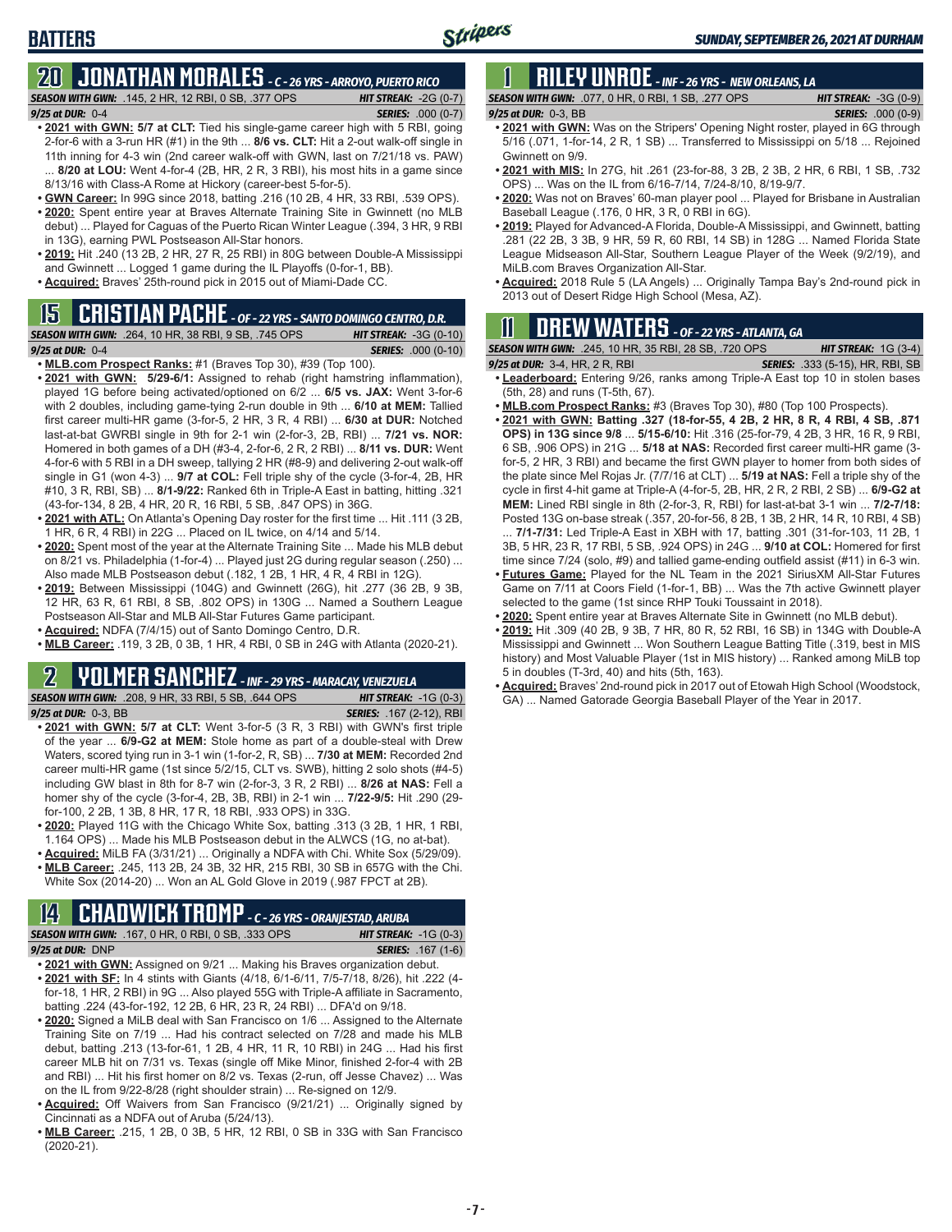### **BATTERS**

#### **20 JONATHAN MORALES** *- C - 26 YRS - ARROYO, PUERTO RICO SEASON WITH GWN:*.145, 2 HR, 12 RBI, 0 SB, .377 OPS *HIT STREAK:* -2G (0-7)

*9/25 at DUR:*0-4 *SERIES:* .000 (0-7)

- **• 2021 with GWN: 5/7 at CLT:** Tied his single-game career high with 5 RBI, going 2-for-6 with a 3-run HR (#1) in the 9th ... **8/6 vs. CLT:** Hit a 2-out walk-off single in 11th inning for 4-3 win (2nd career walk-off with GWN, last on 7/21/18 vs. PAW) 8/20 at LOU: Went 4-for-4 (2B, HR, 2 R, 3 RBI), his most hits in a game since 8/13/16 with Class-A Rome at Hickory (career-best 5-for-5).
- **• GWN Career:** In 99G since 2018, batting .216 (10 2B, 4 HR, 33 RBI, .539 OPS). **• 2020:** Spent entire year at Braves Alternate Training Site in Gwinnett (no MLB
- debut) ... Played for Caguas of the Puerto Rican Winter League (.394, 3 HR, 9 RBI in 13G), earning PWL Postseason All-Star honors.
- **• 2019:** Hit .240 (13 2B, 2 HR, 27 R, 25 RBI) in 80G between Double-A Mississippi and Gwinnett ... Logged 1 game during the IL Playoffs (0-for-1, BB).
- **• Acquired:** Braves' 25th-round pick in 2015 out of Miami-Dade CC.

#### **15 CRISTIAN PACHE** *- OF - 22 YRS - SANTO DOMINGO CENTRO, D.R.*

*SEASON WITH GWN:*.264, 10 HR, 38 RBI, 9 SB, .745 OPS *HIT STREAK:* -3G (0-10)

- *9/25 at DUR:* 0-4 *SERIES:* .000 (0-10)
- **• MLB.com Prospect Ranks:** #1 (Braves Top 30), #39 (Top 100).
- **• 2021 with GWN: 5/29-6/1:** Assigned to rehab (right hamstring inflammation), played 1G before being activated/optioned on 6/2 ... **6/5 vs. JAX:** Went 3-for-6 with 2 doubles, including game-tying 2-run double in 9th ... **6/10 at MEM:** Tallied first career multi-HR game (3-for-5, 2 HR, 3 R, 4 RBI) ... **6/30 at DUR:** Notched last-at-bat GWRBI single in 9th for 2-1 win (2-for-3, 2B, RBI) ... **7/21 vs. NOR:** Homered in both games of a DH (#3-4, 2-for-6, 2 R, 2 RBI) ... **8/11 vs. DUR:** Went 4-for-6 with 5 RBI in a DH sweep, tallying 2 HR (#8-9) and delivering 2-out walk-off single in G1 (won 4-3) ... **9/7 at COL:** Fell triple shy of the cycle (3-for-4, 2B, HR #10, 3 R, RBI, SB) ... **8/1-9/22:** Ranked 6th in Triple-A East in batting, hitting .321 (43-for-134, 8 2B, 4 HR, 20 R, 16 RBI, 5 SB, .847 OPS) in 36G.
- **• 2021 with ATL:** On Atlanta's Opening Day roster for the first time ... Hit .111 (3 2B, 1 HR, 6 R, 4 RBI) in 22G ... Placed on IL twice, on 4/14 and 5/14.
- **• 2020:** Spent most of the year at the Alternate Training Site ... Made his MLB debut on 8/21 vs. Philadelphia (1-for-4) ... Played just 2G during regular season (.250) ... Also made MLB Postseason debut (.182, 1 2B, 1 HR, 4 R, 4 RBI in 12G).
- **• 2019:** Between Mississippi (104G) and Gwinnett (26G), hit .277 (36 2B, 9 3B, 12 HR, 63 R, 61 RBI, 8 SB, .802 OPS) in 130G ... Named a Southern League Postseason All-Star and MLB All-Star Futures Game participant.
- **• Acquired:** NDFA (7/4/15) out of Santo Domingo Centro, D.R.
- **• MLB Career:** .119, 3 2B, 0 3B, 1 HR, 4 RBI, 0 SB in 24G with Atlanta (2020-21).

### **2 YOLMER SANCHEZ** *- INF - 29 YRS - MARACAY, VENEZUELA*

*SEASON WITH GWN:*.208, 9 HR, 33 RBI, 5 SB, .644 OPS *HIT STREAK:* -1G (0-3) *9/25 at DUR:*0-3, BB *SERIES:* .167 (2-12), RBI

- **• 2021 with GWN: 5/7 at CLT:** Went 3-for-5 (3 R, 3 RBI) with GWN's first triple of the year ... **6/9-G2 at MEM:** Stole home as part of a double-steal with Drew Waters, scored tying run in 3-1 win (1-for-2, R, SB) ... **7/30 at MEM:** Recorded 2nd career multi-HR game (1st since 5/2/15, CLT vs. SWB), hitting 2 solo shots (#4-5) including GW blast in 8th for 8-7 win (2-for-3, 3 R, 2 RBI) ... **8/26 at NAS:** Fell a homer shy of the cycle (3-for-4, 2B, 3B, RBI) in 2-1 win ... **7/22-9/5:** Hit .290 (29 for-100, 2 2B, 1 3B, 8 HR, 17 R, 18 RBI, .933 OPS) in 33G.
- **• 2020:** Played 11G with the Chicago White Sox, batting .313 (3 2B, 1 HR, 1 RBI, 1.164 OPS) ... Made his MLB Postseason debut in the ALWCS (1G, no at-bat).
- **• Acquired:** MiLB FA (3/31/21) ... Originally a NDFA with Chi. White Sox (5/29/09). **• MLB Career:** .245, 113 2B, 24 3B, 32 HR, 215 RBI, 30 SB in 657G with the Chi.

#### White Sox (2014-20) ... Won an AL Gold Glove in 2019 (.987 FPCT at 2B).

#### **14 CHADWICK TROMP** *- C - 26 YRS - ORANJESTAD, ARUBA SEASON WITH GWN:*.167, 0 HR, 0 RBI, 0 SB, .333 OPS *HIT STREAK:* -1G (0-3)

*9/25 at DUR:*DNP *SERIES:* .167 (1-6)

- **• 2021 with GWN:** Assigned on 9/21 ... Making his Braves organization debut. **• 2021 with SF:** In 4 stints with Giants (4/18, 6/1-6/11, 7/5-7/18, 8/26), hit .222 (4 for-18, 1 HR, 2 RBI) in 9G ... Also played 55G with Triple-A affiliate in Sacramento, batting .224 (43-for-192, 12 2B, 6 HR, 23 R, 24 RBI) ... DFA'd on 9/18.
- **• 2020:** Signed a MiLB deal with San Francisco on 1/6 ... Assigned to the Alternate Training Site on 7/19 ... Had his contract selected on 7/28 and made his MLB debut, batting .213 (13-for-61, 1 2B, 4 HR, 11 R, 10 RBI) in 24G ... Had his first career MLB hit on 7/31 vs. Texas (single off Mike Minor, finished 2-for-4 with 2B and RBI) ... Hit his first homer on 8/2 vs. Texas (2-run, off Jesse Chavez) ... Was on the IL from 9/22-8/28 (right shoulder strain) ... Re-signed on 12/9.
- **• Acquired:** Off Waivers from San Francisco (9/21/21) ... Originally signed by Cincinnati as a NDFA out of Aruba (5/24/13).
- **• MLB Career:** .215, 1 2B, 0 3B, 5 HR, 12 RBI, 0 SB in 33G with San Francisco (2020-21).

# **1 RILEY UNROE** *- INF - 26 YRS - NEW ORLEANS, LA*

*SEASON WITH GWN:*.077, 0 HR, 0 RBI, 1 SB, .277 OPS *HIT STREAK:* -3G (0-9) *9/25 at DUR:*0-3, BB *SERIES:* .000 (0-9)

- 
- **• 2021 with GWN:** Was on the Stripers' Opening Night roster, played in 6G through 5/16 (.071, 1-for-14, 2 R, 1 SB) ... Transferred to Mississippi on 5/18 ... Rejoined Gwinnett on 9/9.
- **• 2021 with MIS:** In 27G, hit .261 (23-for-88, 3 2B, 2 3B, 2 HR, 6 RBI, 1 SB, .732 OPS) ... Was on the IL from 6/16-7/14, 7/24-8/10, 8/19-9/7.
- **• 2020:** Was not on Braves' 60-man player pool ... Played for Brisbane in Australian Baseball League (.176, 0 HR, 3 R, 0 RBI in 6G).
- **• 2019:** Played for Advanced-A Florida, Double-A Mississippi, and Gwinnett, batting .281 (22 2B, 3 3B, 9 HR, 59 R, 60 RBI, 14 SB) in 128G ... Named Florida State League Midseason All-Star, Southern League Player of the Week (9/2/19), and MiLB.com Braves Organization All-Star.
- **• Acquired:** 2018 Rule 5 (LA Angels) ... Originally Tampa Bay's 2nd-round pick in 2013 out of Desert Ridge High School (Mesa, AZ).

### **11 Drew WATERS** *- OF - 22 YRS - ATLANTA, GA*

*SEASON WITH GWN:*.245, 10 HR, 35 RBI, 28 SB, .720 OPS *HIT STREAK:* 1G (3-4)

- *9/25 at DUR:*3-4, HR, 2 R, RBI *SERIES:* .333 (5-15), HR, RBI, SB **• Leaderboard:** Entering 9/26, ranks among Triple-A East top 10 in stolen bases (5th, 28) and runs (T-5th, 67).
- **• MLB.com Prospect Ranks:** #3 (Braves Top 30), #80 (Top 100 Prospects).
- **• 2021 with GWN: Batting .327 (18-for-55, 4 2B, 2 HR, 8 R, 4 RBI, 4 SB, .871 OPS) in 13G since 9/8** ... **5/15-6/10:** Hit .316 (25-for-79, 4 2B, 3 HR, 16 R, 9 RBI, 6 SB, .906 OPS) in 21G ... **5/18 at NAS:** Recorded first career multi-HR game (3 for-5, 2 HR, 3 RBI) and became the first GWN player to homer from both sides of the plate since Mel Rojas Jr. (7/7/16 at CLT) ... **5/19 at NAS:** Fell a triple shy of the cycle in first 4-hit game at Triple-A (4-for-5, 2B, HR, 2 R, 2 RBI, 2 SB) ... **6/9-G2 at MEM:** Lined RBI single in 8th (2-for-3, R, RBI) for last-at-bat 3-1 win ... **7/2-7/18:** Posted 13G on-base streak (.357, 20-for-56, 8 2B, 1 3B, 2 HR, 14 R, 10 RBI, 4 SB)
- ... **7/1-7/31:** Led Triple-A East in XBH with 17, batting .301 (31-for-103, 11 2B, 1 3B, 5 HR, 23 R, 17 RBI, 5 SB, .924 OPS) in 24G ... **9/10 at COL:** Homered for first time since 7/24 (solo, #9) and tallied game-ending outfield assist (#11) in 6-3 win.
- **• Futures Game:** Played for the NL Team in the 2021 SiriusXM All-Star Futures Game on 7/11 at Coors Field (1-for-1, BB) ... Was the 7th active Gwinnett player selected to the game (1st since RHP Touki Toussaint in 2018).
- **• 2020:** Spent entire year at Braves Alternate Site in Gwinnett (no MLB debut).
- **• 2019:** Hit .309 (40 2B, 9 3B, 7 HR, 80 R, 52 RBI, 16 SB) in 134G with Double-A Mississippi and Gwinnett ... Won Southern League Batting Title (.319, best in MIS history) and Most Valuable Player (1st in MIS history) ... Ranked among MiLB top 5 in doubles (T-3rd, 40) and hits (5th, 163).
- **• Acquired:** Braves' 2nd-round pick in 2017 out of Etowah High School (Woodstock, GA) ... Named Gatorade Georgia Baseball Player of the Year in 2017.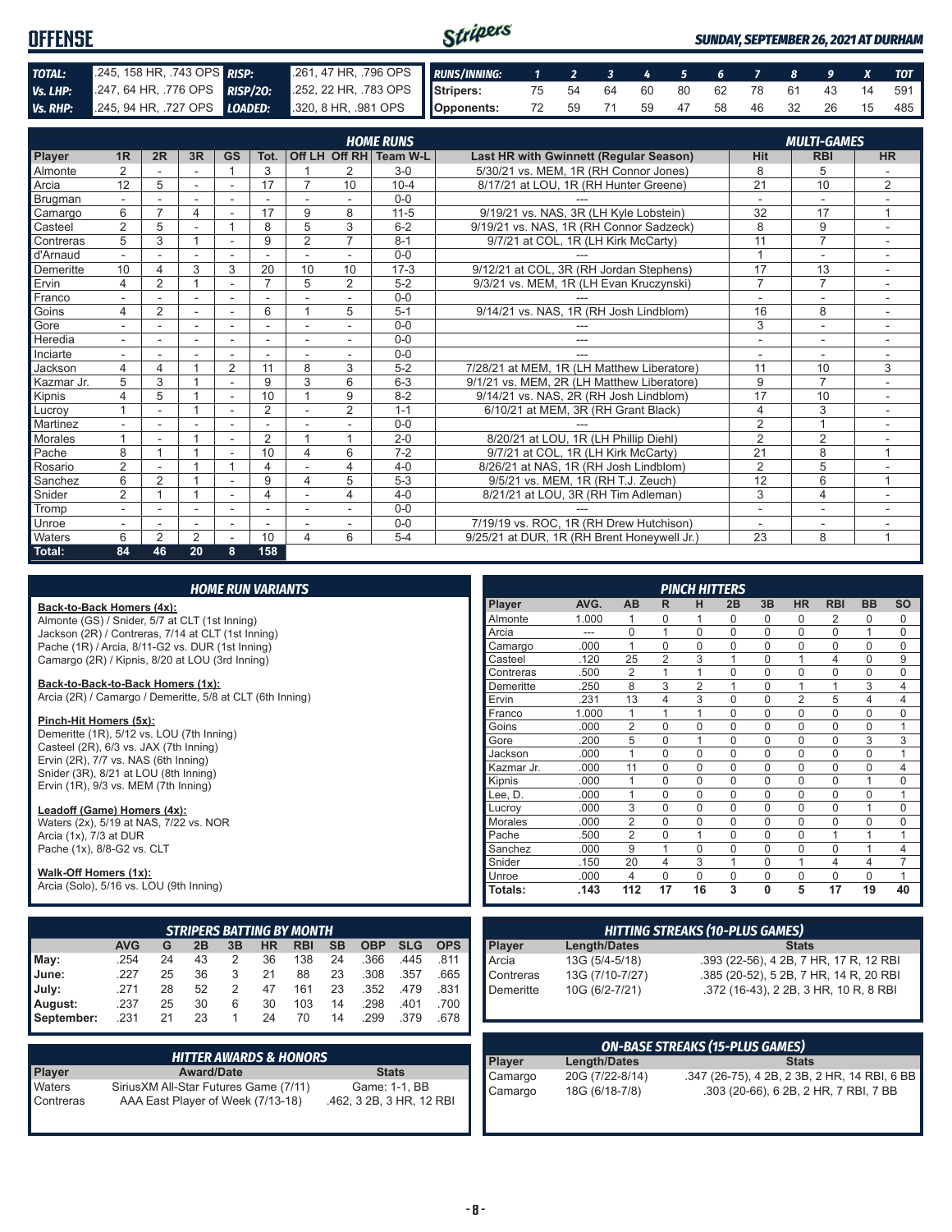| <b>OFFENSE</b> |                                                                                                  |                                                                                                        | Stripers |  |  |  |  |  | <b>SUNDAY, SEPTEMBER 26, 2021 AT DURHAM</b> |
|----------------|--------------------------------------------------------------------------------------------------|--------------------------------------------------------------------------------------------------------|----------|--|--|--|--|--|---------------------------------------------|
| TOTAL:         | 245, 158 HR, 743 OPS RISP: 261, 47 HR, 796 OPS RUNS/INNING: 1 2 3 4 5 6 7 8 9 X TOT              |                                                                                                        |          |  |  |  |  |  |                                             |
| Vs. LHP:       | 247, 64 HR, 776 OPS RISP/20: 252, 22 HR, 783 OPS STRIP STRIPS: 75 54 64 60 80 62 78 61 43 14 591 |                                                                                                        |          |  |  |  |  |  |                                             |
|                |                                                                                                  | Vs. RHP: 245, 94 HR, 727 OPS LOADED: 320, 8 HR, 981 OPS   Opponents: 72 59 71 59 47 58 46 32 26 15 485 |          |  |  |  |  |  |                                             |

|                |                |    |                          |                          |                |                |                | <b>HOME RUNS</b>       |                                               |                 | <b>MULTI-GAMES</b> |                |
|----------------|----------------|----|--------------------------|--------------------------|----------------|----------------|----------------|------------------------|-----------------------------------------------|-----------------|--------------------|----------------|
| Player         | 1 <sub>R</sub> | 2R | 3R                       | <b>GS</b>                | Tot.           |                |                | Off LH Off RH Team W-L | <b>Last HR with Gwinnett (Regular Season)</b> | <b>Hit</b>      | <b>RBI</b>         | <b>HR</b>      |
| Almonte        | $\overline{2}$ |    |                          |                          | 3              |                | 2              | $3-0$                  | 5/30/21 vs. MEM. 1R (RH Connor Jones)         | 8               | 5                  |                |
| Arcia          | 12             | 5  | ٠                        | $\overline{\phantom{a}}$ | 17             | $\overline{7}$ | 10             | $10 - 4$               | 8/17/21 at LOU, 1R (RH Hunter Greene)         | $\overline{21}$ | 10                 | $\overline{2}$ |
| Brugman        |                |    |                          |                          |                |                |                | $0 - 0$                |                                               |                 |                    |                |
| Camargo        | 6              | 7  | 4                        |                          | 17             | 9              | 8              | $11 - 5$               | 9/19/21 vs. NAS, 3R (LH Kyle Lobstein)        | 32              | 17                 | $\overline{ }$ |
| Casteel        | $\overline{2}$ | 5  |                          |                          | 8              | 5              | 3              | $6 - 2$                | 9/19/21 vs. NAS, 1R (RH Connor Sadzeck)       | 8               | 9                  |                |
| Contreras      | 5              | 3  |                          | $\overline{\phantom{a}}$ | 9              | $\overline{2}$ | $\overline{7}$ | $8 - 1$                | 9/7/21 at COL, 1R (LH Kirk McCarty)           | 11              | $\overline{7}$     | ٠              |
| d'Arnaud       |                |    |                          |                          |                |                |                | $0 - 0$                |                                               | $\overline{A}$  | $\overline{a}$     |                |
| Demeritte      | 10             | 4  | 3                        | 3                        | 20             | 10             | 10             | $17-3$                 | 9/12/21 at COL, 3R (RH Jordan Stephens)       | 17              | 13                 |                |
| Ervin          | 4              | 2  |                          | ÷                        | $\overline{7}$ | 5              | $\overline{2}$ | $5 - 2$                | 9/3/21 vs. MEM, 1R (LH Evan Kruczynski)       | $\overline{7}$  | $\overline{7}$     |                |
| Franco         |                |    |                          |                          |                |                |                | $0 - 0$                |                                               |                 | ۰                  |                |
| Goins          | 4              | 2  | ÷.                       | ٠                        | 6              |                | 5              | $5 - 1$                | 9/14/21 vs. NAS, 1R (RH Josh Lindblom)        | 16              | 8                  | $\sim$         |
| Gore           |                |    | ٠                        |                          |                | ÷              | $\sim$         | $0 - 0$                |                                               | 3               | ٠                  |                |
| Heredia        |                |    |                          | ٠                        |                | ٠              |                | $0 - 0$                | ---                                           |                 | ۰                  |                |
| Inciarte       |                |    |                          |                          |                |                |                | $0 - 0$                |                                               |                 |                    |                |
| Jackson        | 4              |    |                          | $\overline{2}$           | 11             | 8              | 3              | $5 - 2$                | 7/28/21 at MEM, 1R (LH Matthew Liberatore)    | 11              | 10                 | 3              |
| Kazmar Jr.     | 5              | 3  |                          | ÷                        | 9              | 3              | 6              | $6 - 3$                | 9/1/21 vs. MEM, 2R (LH Matthew Liberatore)    | 9               | $\overline{7}$     |                |
| Kipnis         | 4              | 5  |                          | ٠                        | 10             |                | 9              | $8 - 2$                | 9/14/21 vs. NAS, 2R (RH Josh Lindblom)        | 17              | 10                 |                |
| Lucrov         |                |    |                          | $\overline{\phantom{a}}$ | $\overline{2}$ |                | $\overline{2}$ | $1 - 1$                | 6/10/21 at MEM, 3R (RH Grant Black)           | $\overline{4}$  | 3                  |                |
| Martinez       |                |    |                          |                          |                |                |                | $0 - 0$                |                                               | $\overline{2}$  | $\overline{A}$     |                |
| <b>Morales</b> |                |    |                          |                          | 2              |                | 1              | $2 - 0$                | 8/20/21 at LOU, 1R (LH Phillip Diehl)         | $\overline{2}$  | 2                  |                |
| Pache          | 8              |    |                          |                          | 10             | 4              | 6              | $7-2$                  | 9/7/21 at COL, 1R (LH Kirk McCarty)           | $\overline{21}$ | 8                  | $\overline{ }$ |
| Rosario        | $\overline{2}$ |    |                          |                          | 4              |                | 4              | $4 - 0$                | 8/26/21 at NAS, 1R (RH Josh Lindblom)         | $\overline{2}$  | 5                  |                |
| Sanchez        | 6              | 2  |                          | $\sim$                   | 9              | 4              | 5              | $5 - 3$                | 9/5/21 vs. MEM, 1R (RH T.J. Zeuch)            | 12              | 6                  |                |
| Snider         | $\overline{2}$ |    |                          | $\overline{\phantom{a}}$ | 4              | ٠              | 4              | $4 - 0$                | 8/21/21 at LOU, 3R (RH Tim Adleman)           | 3               | $\overline{4}$     |                |
| Tromp          |                |    | $\overline{\phantom{a}}$ |                          |                |                |                | $0 - 0$                |                                               |                 | $\overline{a}$     |                |
| Unroe          |                |    |                          |                          |                |                |                | $0 - 0$                | 7/19/19 vs. ROC, 1R (RH Drew Hutchison)       | $\overline{a}$  | ٠                  |                |
| Waters         | 6              | 2  | 2                        |                          | 10             | 4              | 6              | $5 - 4$                | 9/25/21 at DUR. 1R (RH Brent Honeywell Jr.)   | 23              | 8                  | $\overline{ }$ |
| Total:         | 84             | 46 | 20                       | 8                        | 158            |                |                |                        |                                               |                 |                    |                |

| <b>HOME RUN VARIANTS</b> |  |
|--------------------------|--|
|                          |  |

**Back-to-Back Homers (4x):** Almonte (GS) / Snider, 5/7 at CLT (1st Inning) Jackson (2R) / Contreras, 7/14 at CLT (1st Inning) Pache (1R) / Arcia, 8/11-G2 vs. DUR (1st Inning) Camargo (2R) / Kipnis, 8/20 at LOU (3rd Inning)

#### **Back-to-Back-to-Back Homers (1x):**

Arcia (2R) / Camargo / Demeritte, 5/8 at CLT (6th Inning)

#### **Pinch-Hit Homers (5x):**

Demeritte (1R), 5/12 vs. LOU (7th Inning) Casteel (2R), 6/3 vs. JAX (7th Inning) Ervin (2R), 7/7 vs. NAS (6th Inning) Snider (3R), 8/21 at LOU (8th Inning) Ervin (1R), 9/3 vs. MEM (7th Inning)

#### **Leadoff (Game) Homers (4x):**

Waters (2x), 5/19 at NAS, 7/22 vs. NOR Arcia (1x), 7/3 at DUR Pache (1x), 8/8-G2 vs. CLT

#### **Walk-Off Homers (1x):**

Arcia (Solo), 5/16 vs. LOU (9th Inning)

|            |            |    |    |    |    | <b>STRIPERS BATTING BY MONTH</b> |           |            |            |            |
|------------|------------|----|----|----|----|----------------------------------|-----------|------------|------------|------------|
|            | <b>AVG</b> | G  | 2B | 3B | HR | <b>RBI</b>                       | <b>SB</b> | <b>OBP</b> | <b>SLG</b> | <b>OPS</b> |
| May:       | .254       | 24 | 43 | 2  | 36 | 138                              | 24        | .366       | .445       | .811       |
| June:      | .227       | 25 | 36 | 3  | 21 | 88                               | 23        | .308       | .357       | .665       |
| July:      | .271       | 28 | 52 | 2  | 47 | 161                              | 23        | .352       | .479       | .831       |
| August:    | .237       | 25 | 30 | 6  | 30 | 103                              | 14        | .298       | .401       | .700       |
| September: | .231       | 21 | 23 |    | 24 | 70                               | 14        | .299       | .379       | .678       |

| <b>HITTER AWARDS &amp; HONORS</b> |                                                                             |                                           |  |  |  |  |
|-----------------------------------|-----------------------------------------------------------------------------|-------------------------------------------|--|--|--|--|
| <b>Player</b>                     | <b>Award/Date</b>                                                           | <b>Stats</b>                              |  |  |  |  |
| Waters<br>Contreras               | Sirius XM All-Star Futures Game (7/11)<br>AAA East Player of Week (7/13-18) | Game: 1-1, BB<br>.462, 3 2B, 3 HR, 12 RBI |  |  |  |  |

|            |       |                |                | <b>PINCH HITTERS</b> |             |             |                |                |           |           |
|------------|-------|----------------|----------------|----------------------|-------------|-------------|----------------|----------------|-----------|-----------|
| Player     | AVG.  | <b>AB</b>      | R              | н                    | 2B          | 3B          | <b>HR</b>      | <b>RBI</b>     | <b>BB</b> | <b>SO</b> |
| Almonte    | 1.000 | 1              | 0              | 1                    | 0           | 0           | 0              | 2              | 0         | 0         |
| Arcia      |       | $\Omega$       | 1              | $\Omega$             | $\Omega$    | $\Omega$    | $\Omega$       | $\Omega$       | 1         | 0         |
| Camargo    | .000  | 1              | $\Omega$       | $\Omega$             | $\Omega$    | $\Omega$    | $\Omega$       | $\Omega$       | $\Omega$  | 0         |
| Casteel    | .120  | 25             | $\overline{2}$ | 3                    | 1           | $\Omega$    | 1              | $\overline{4}$ | $\Omega$  | 9         |
| Contreras  | .500  | $\overline{2}$ | 1              | 1                    | 0           | $\Omega$    | $\mathbf 0$    | $\mathbf 0$    | 0         | 0         |
| Demeritte  | .250  | 8              | 3              | $\overline{2}$       | 1           | $\Omega$    | 1              | 1              | 3         | 4         |
| Ervin      | .231  | 13             | 4              | 3                    | $\Omega$    | $\Omega$    | $\overline{2}$ | 5              | 4         | 4         |
| Franco     | 1.000 | 1              | 1              | 1                    | 0           | 0           | 0              | $\Omega$       | 0         | 0         |
| Goins      | .000  | $\overline{2}$ | 0              | $\mathbf 0$          | $\mathbf 0$ | $\mathbf 0$ | $\mathbf 0$    | $\mathbf 0$    | 0         | 1         |
| Gore       | .200  | 5              | $\Omega$       | 1                    | $\Omega$    | $\Omega$    | $\Omega$       | $\Omega$       | 3         | 3         |
| Jackson    | .000  | 1              | $\Omega$       | $\Omega$             | $\Omega$    | $\Omega$    | $\Omega$       | $\Omega$       | $\Omega$  | 1         |
| Kazmar Jr. | .000  | 11             | $\Omega$       | $\Omega$             | $\Omega$    | $\Omega$    | $\Omega$       | $\Omega$       | $\Omega$  | 4         |
| Kipnis     | .000  | 1              | $\Omega$       | $\Omega$             | 0           | $\Omega$    | $\Omega$       | $\Omega$       | 1         | $\Omega$  |
| Lee, D.    | .000  | 1              | $\Omega$       | $\Omega$             | $\Omega$    | $\Omega$    | $\Omega$       | $\Omega$       | $\Omega$  | 1         |
| Lucroy     | .000  | 3              | $\Omega$       | $\Omega$             | 0           | $\Omega$    | $\Omega$       | $\Omega$       | 1         | $\Omega$  |
| Morales    | .000  | $\overline{2}$ | 0              | 0                    | $\Omega$    | $\Omega$    | 0              | $\Omega$       | 0         | 0         |
| Pache      | .500  | $\overline{2}$ | 0              | 1                    | $\mathbf 0$ | $\mathbf 0$ | $\mathbf 0$    | 1              | 1         | 1         |
| Sanchez    | .000  | 9              | 1              | $\Omega$             | $\mathbf 0$ | $\Omega$    | $\mathbf 0$    | $\Omega$       | 1         | 4         |
| Snider     | .150  | 20             | 4              | 3                    | 1           | $\Omega$    | 1              | $\overline{4}$ | 4         | 7         |
| Unroe      | .000  | 4              | $\Omega$       | $\Omega$             | $\Omega$    | $\Omega$    | $\Omega$       | $\Omega$       | $\Omega$  | 1         |
| Totals:    | .143  | 112            | 17             | 16                   | 3           | $\bf{0}$    | 5              | 17             | 19        | 40        |

| <b>Length/Dates</b> | <b>Stats</b>                                        |
|---------------------|-----------------------------------------------------|
|                     | .393 (22-56), 4 2B, 7 HR, 17 R, 12 RBI              |
|                     | .385 (20-52), 5 2B, 7 HR, 14 R, 20 RBI              |
|                     | .372 (16-43), 2 2B, 3 HR, 10 R, 8 RBI               |
|                     | 13G (5/4-5/18)<br>13G (7/10-7/27)<br>10G (6/2-7/21) |

| <b>ON-BASE STREAKS (15-PLUS GAMES)</b> |                 |                                              |  |  |  |  |  |
|----------------------------------------|-----------------|----------------------------------------------|--|--|--|--|--|
| Player                                 | Length/Dates    | <b>Stats</b>                                 |  |  |  |  |  |
| Camargo                                | 20G (7/22-8/14) | .347 (26-75), 4 2B, 2 3B, 2 HR, 14 RBI, 6 BB |  |  |  |  |  |
| Camargo                                | 18G (6/18-7/8)  | .303 (20-66), 6 2B, 2 HR, 7 RBI, 7 BB        |  |  |  |  |  |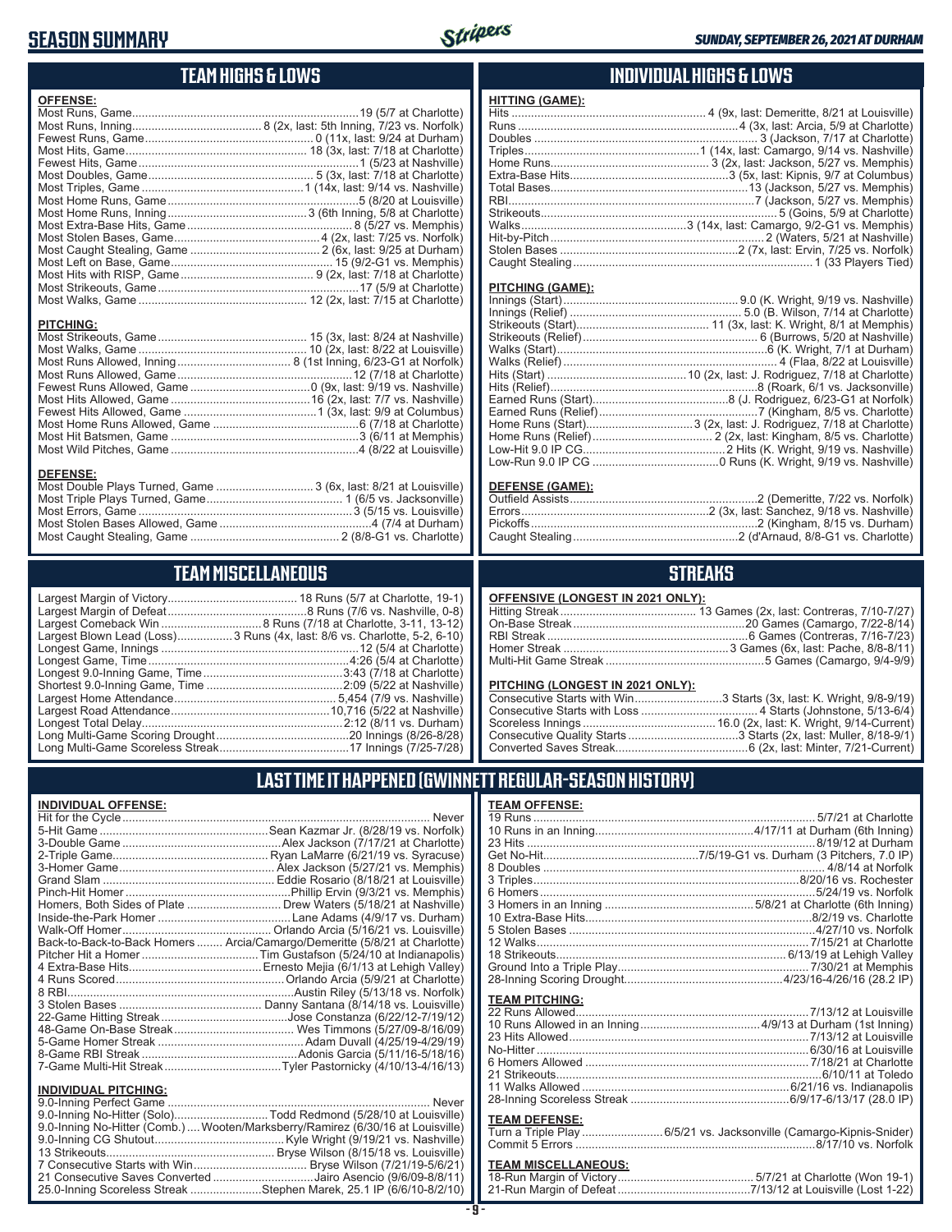### **SEASON SUMMARY**



#### **TEAM HIGHS & LOWS**

| <b>OFFENSE:</b>  |                                                                  |
|------------------|------------------------------------------------------------------|
|                  |                                                                  |
|                  |                                                                  |
|                  |                                                                  |
|                  |                                                                  |
|                  |                                                                  |
|                  |                                                                  |
|                  |                                                                  |
|                  |                                                                  |
|                  |                                                                  |
|                  |                                                                  |
|                  |                                                                  |
|                  |                                                                  |
|                  |                                                                  |
|                  |                                                                  |
|                  |                                                                  |
|                  |                                                                  |
|                  |                                                                  |
| <b>PITCHING:</b> |                                                                  |
|                  |                                                                  |
|                  |                                                                  |
|                  |                                                                  |
|                  |                                                                  |
|                  |                                                                  |
|                  |                                                                  |
|                  |                                                                  |
|                  |                                                                  |
|                  |                                                                  |
|                  |                                                                  |
|                  |                                                                  |
| <b>DEFENSE:</b>  |                                                                  |
|                  | Most Double Plays Turned, Game  3 (6x, last: 8/21 at Louisville) |

Most Triple Plays Turned, Game .......................................... 1 (6/5 vs. Jacksonville) Most Errors, Game ..................................................................3 (5/15 vs. Louisville) Most Stolen Bases Allowed, Game ...............................................4 (7/4 at Durham) Most Caught Stealing, Game .............................................. 2 (8/8-G1 vs. Charlotte)

#### **INDIVIDUAL HIGHS & LOWS**

| <b>HITTING (GAME):</b> |  |
|------------------------|--|
|                        |  |
|                        |  |
|                        |  |
|                        |  |
|                        |  |
|                        |  |
|                        |  |
|                        |  |
|                        |  |
|                        |  |
|                        |  |
|                        |  |
|                        |  |

#### **PITCHING (GAME):**

#### **DEFENSE (GAME):**

#### **STREAKS**

#### **OFFENSIVE (LONGEST IN 2021 ONLY):**

#### **PITCHING (LONGEST IN 2021 ONLY):**

| Consecutive Starts with Win3 Starts (3x, last: K. Wright, 9/8-9/19) |  |
|---------------------------------------------------------------------|--|
|                                                                     |  |
|                                                                     |  |
|                                                                     |  |
|                                                                     |  |

#### **LAST TIME IT HAPPENED (GWINNETT REGULAR-SEASON HISTORY)**

| <b>TEAM OFFENSE:</b>  |                                                                     |
|-----------------------|---------------------------------------------------------------------|
|                       |                                                                     |
|                       |                                                                     |
|                       | 8/19/12 at Durham                                                   |
|                       |                                                                     |
|                       |                                                                     |
|                       |                                                                     |
|                       |                                                                     |
|                       |                                                                     |
|                       |                                                                     |
|                       |                                                                     |
|                       |                                                                     |
|                       |                                                                     |
|                       |                                                                     |
|                       |                                                                     |
|                       |                                                                     |
| <b>TEAM PITCHING:</b> |                                                                     |
|                       |                                                                     |
|                       |                                                                     |
|                       |                                                                     |
|                       |                                                                     |
|                       |                                                                     |
|                       |                                                                     |
|                       |                                                                     |
|                       |                                                                     |
|                       |                                                                     |
| <b>TEAM DEFENSE:</b>  |                                                                     |
|                       | Turn a Triple Play  6/5/21 vs. Jacksonville (Camargo-Kipnis-Snider) |
|                       |                                                                     |

# **TEAM MISCELLANEOUS:**<br>18-Run Margin of Victory....

|                                               | <b>TEAM MISCELLANEOUS</b> |
|-----------------------------------------------|---------------------------|
|                                               |                           |
| Largest Comeback Win  8 Runs (7/18            |                           |
| Largest Blown Lead (Loss) 3 Runs (4x, last: 8 |                           |

| Largest Blown Lead (Loss) 3 Runs (4x, last: 8/6 vs. Charlotte, 5-2, 6-10) |
|---------------------------------------------------------------------------|
|                                                                           |
|                                                                           |
|                                                                           |
|                                                                           |
|                                                                           |
|                                                                           |
|                                                                           |
|                                                                           |
|                                                                           |

#### **INDIVIDUAL OFFENSE:**

|                      | Homers, Both Sides of Plate  Drew Waters (5/18/21 at Nashville)            |
|----------------------|----------------------------------------------------------------------------|
|                      |                                                                            |
|                      |                                                                            |
|                      | Back-to-Back-to-Back Homers  Arcia/Camargo/Demeritte (5/8/21 at Charlotte) |
|                      |                                                                            |
|                      |                                                                            |
|                      |                                                                            |
|                      |                                                                            |
|                      |                                                                            |
|                      |                                                                            |
|                      |                                                                            |
|                      |                                                                            |
|                      |                                                                            |
|                      |                                                                            |
|                      |                                                                            |
| INDIVIDUAL PITCHING: |                                                                            |

| <b>INDIVIDUAL FILUIIING.</b>                                                   |  |
|--------------------------------------------------------------------------------|--|
|                                                                                |  |
| 9.0-Inning No-Hitter (Solo)Todd Redmond (5/28/10 at Louisville)                |  |
| 9.0-Inning No-Hitter (Comb.) Wooten/Marksberry/Ramirez (6/30/16 at Louisville) |  |
|                                                                                |  |
|                                                                                |  |
|                                                                                |  |
| 21 Consecutive Saves Converted Jairo Asencio (9/6/09-8/8/11)                   |  |
| 25.0-Inning Scoreless Streak Stephen Marek, 25.1 IP (6/6/10-8/2/10)            |  |
|                                                                                |  |